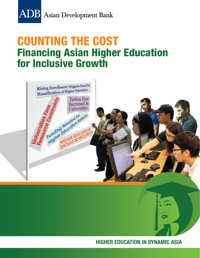

# COUNTING THE COST Financing Asian Higher Education for Inclusive Growth



**HIGHER EDUCATION IN DYNAMIC ASIA**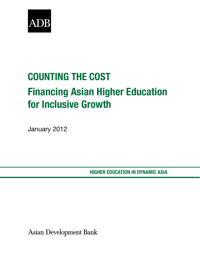

# COUNTING THE COST Financing Asian Higher Education for Inclusive Growth

January 2012

Higher Education IN DYNAMIC Asia

**Asian Development Bank**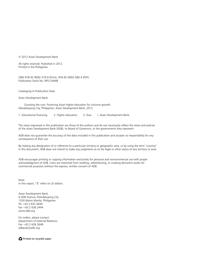© 2012 Asian Development Bank

All rights reserved. Published in 2012. Printed in the Philippines

ISBN 978-92-9092-579-8 (Print), 978-92-9092-580-4 (PDF) Publication Stock No. RPS124448

Cataloging-In-Publication Data

Asian Development Bank

 Counting the cost: Financing Asian higher education for inclusive growth Mandaluyong City, Philippines: Asian Development Bank, 2012.

1. Educational financing. 2. Higher education 3. Asia. I. Asian Development Bank.

The views expressed in this publication are those of the authors and do not necessarily reflect the views and policies of the Asian Development Bank (ADB), its Board of Governors, or the governments they represent.

ADB does not guarantee the accuracy of the data included in this publication and accepts no responsibility for any consequence of their use.

By making any designation of or reference to a particular territory or geographic area, or by using the term "country" in this document, ADB does not intend to make any judgments as to the legal or other status of any territory or area.

ADB encourages printing or copying information exclusively for personal and noncommercial use with proper acknowledgment of ADB. Users are restricted from reselling, redistributing, or creating derivative works for commercial purposes without the express, written consent of ADB.

Note: In this report, "\$" refers to US dollars.

Asian Development Bank 6 ADB Avenue, Mandaluyong City 1550 Metro Manila, Philippines Tel +63 2 632 4444 Fax +63 2 636 2444 www.adb.org

For orders, please contact: Department of External Relations Fax +63 2 636 2648 adbpub@adb.org

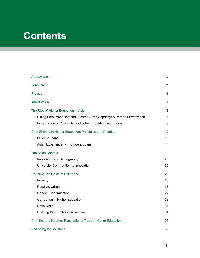## **Contents**

| Abbreviations                                                             | v   |
|---------------------------------------------------------------------------|-----|
| Foreword                                                                  | vi  |
| Preface                                                                   | vii |
| Introduction                                                              | 1   |
| The Rise of Higher Education in Asia                                      | 3   |
| Rising Enrollment Demand, Limited State Capacity: A Path to Privatization | 6   |
| Privatization of Public Sector Higher Education Institutions              | 9   |
| Cost Sharing in Higher Education: Principles and Practice                 | 12  |
| <b>Student Loans</b>                                                      | 13  |
| Asian Experience with Student Loans                                       | 14  |
| The Asian Context                                                         | 18  |
| Implications of Demography                                                | 20  |
| University Contribution to Innovation                                     | 20  |
| Counting the Costs of Difference                                          | 23  |
| Poverty                                                                   | 23  |
| Rural vs. Urban                                                           | 26  |
| <b>Gender Discrimination</b>                                              | 27  |
| Corruption in Higher Education                                            | 28  |
| <b>Brain Drain</b>                                                        | 31  |
| <b>Building World-Class Universities</b>                                  | 34  |
| Counting the Income: Transnational Trade in Higher Education              | 37  |
| <b>Searching for Solutions</b>                                            | 39  |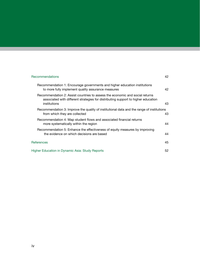#### Recommendations 42

| Recommendation 1: Encourage governments and higher education institutions<br>to more fully implement quality assurance measures |                                                                                           | 42 |
|---------------------------------------------------------------------------------------------------------------------------------|-------------------------------------------------------------------------------------------|----|
| Recommendation 2: Assist countries to assess the economic and social returns<br>institutions                                    | associated with different strategies for distributing support to higher education         | 43 |
| from which they are collected                                                                                                   | Recommendation 3: Improve the quality of institutional data and the range of institutions | 43 |
| Recommendation 4: Map student flows and associated financial returns<br>more systematically within the region                   |                                                                                           | 44 |
| Recommendation 5: Enhance the effectiveness of equity measures by improving<br>the evidence on which decisions are based        |                                                                                           | 44 |
| References                                                                                                                      |                                                                                           | 45 |
| Higher Education in Dynamic Asia: Study Reports                                                                                 |                                                                                           | 52 |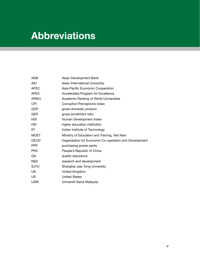## **Abbreviations**

| ADB         | Asian Development Bank                                 |
|-------------|--------------------------------------------------------|
| <b>AIU</b>  | Asian International University                         |
| <b>APEC</b> | Asia-Pacific Economic Cooperation                      |
| <b>APEX</b> | Accelerated Program for Excellence                     |
| <b>ARWU</b> | Academic Ranking of World Universities                 |
| <b>CPI</b>  | <b>Corruption Perceptions Index</b>                    |
| GDP         | gross domestic product                                 |
| <b>GER</b>  | gross enrollment ratio                                 |
| HDI         | Human Development Index                                |
| HEI         | higher education institution                           |
| <b>IIT</b>  | Indian Institute of Technology                         |
| <b>MOET</b> | Ministry of Education and Training, Viet Nam           |
| <b>OECD</b> | Organisation for Economic Co-operation and Development |
| <b>PPP</b>  | purchasing power parity                                |
| <b>PRC</b>  | People's Republic of China                             |
| QA          | quality assurance                                      |
| R&D         | research and development                               |
| <b>SJTU</b> | Shanghai Jiao Tong University                          |
| UK          | United Kingdom                                         |
| US          | <b>United States</b>                                   |
| <b>USM</b>  | Universiti Sains Malaysia                              |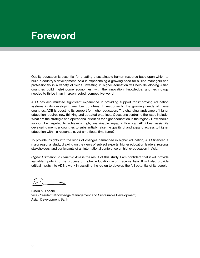## **Foreword**

Quality education is essential for creating a sustainable human resource base upon which to build a country's development. Asia is experiencing a growing need for skilled managers and professionals in a variety of fields. Investing in higher education will help developing Asian countries build high-income economies, with the innovation, knowledge, and technology needed to thrive in an interconnected, competitive world.

ADB has accumulated significant experience in providing support for improving education systems in its developing member countries. In response to the growing needs of these countries, ADB is boosting its support for higher education. The changing landscape of higher education requires new thinking and updated practices. Questions central to the issue include: What are the strategic and operational priorities for higher education in the region? How should support be targeted to achieve a high, sustainable impact? How can ADB best assist its developing member countries to substantially raise the quality of and expand access to higher education within a reasonable, yet ambitious, timeframe?

To provide insights into the kinds of changes demanded in higher education, ADB financed a major regional study, drawing on the views of subject experts, higher education leaders, regional stakeholders, and participants of an international conference on higher education in Asia.

*Higher Education in Dynamic Asia* is the result of this study. I am confident that it will provide valuable inputs into the process of higher education reform across Asia. It will also provide critical inputs into ADB's work in assisting the region to develop the full potential of its people.

Bindu N. Lohani Vice-President (Knowledge Management and Sustainable Development) Asian Development Bank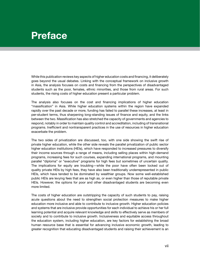## **Preface**

While this publication reviews key aspects of higher education costs and financing, it deliberately goes beyond the usual debates. Linking with the conceptual framework on inclusive growth in Asia, the analysis focuses on costs and financing from the perspectives of disadvantaged students such as the poor, females, ethnic minorities, and those from rural areas. For such students, the rising costs of higher education present a particular problem.

The analysis also focuses on the cost and financing implications of higher education "massification" in Asia. While higher education systems within the region have expanded rapidly over the past decade or more, funding has failed to parallel these increases, at least in per-student terms, thus sharpening long-standing issues of finance and equity, and the links between the two. Massification has also stretched the capacity of governments and agencies to respond, notably in order to maintain quality control and accreditation, including of transnational programs. Inefficient and nontransparent practices in the use of resources in higher education exacerbate the problem.

The two sides of privatization are discussed, too, with one side showing the swift rise of private higher education, while the other side reveals the parallel privatization of public sector higher education institutions (HEIs), which have responded to increased pressures to diversify their income sources through a range of means, including selling places within high-demand programs, increasing fees for such courses, expanding international programs, and mounting parallel "diploma" or "executive" programs for high fees but sometimes of uncertain quality. The implications for equity are troubling—while the poor have often been locked out of quality private HEIs by high fees, they have also been traditionally underrepresented in public HEIs, which have tended to be dominated by wealthier groups. Now some well-established public HEIs are levying fees that are as high as, or even higher than those of reputable private HEIs. However, the options for poor and other disadvantaged students are becoming even more limited.

The costs of higher education are outstripping the capacity of such students to pay, raising acute questions about the need to strengthen social protection measures to make higher education more inclusive and able to contribute to inclusive growth. Higher education policies and systems that are inclusive provide opportunities for each individual to achieve his or her full learning potential and acquire relevant knowledge and skills to effectively serve as members of society and to contribute to inclusive growth. Inclusiveness and equitable access throughout the education system, including higher education, are key factors for establishing the broad human resource base that is essential for advancing inclusive economic growth, leading to greater recognition that educating disadvantaged students and raising their achievement is an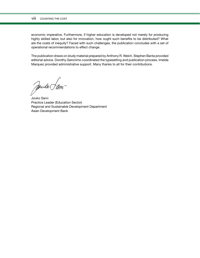#### viii COUNTING THE COST

economic imperative. Furthermore, if higher education is developed not merely for producing highly skilled labor, but also for innovation, how ought such benefits to be distributed? What are the costs of inequity? Faced with such challenges, the publication concludes with a set of operational recommendations to effect change.

The publication draws on study material prepared by Anthony R. Welch. Stephen Banta provided editorial advice. Dorothy Geronimo coordinated the typesetting and publication process. Imelda Marquez provided administrative support. Many thanks to all for their contributions.

Soule (m-

Jouko Sarvi Practice Leader (Education Sector) Regional and Sustainable Development Department Asian Development Bank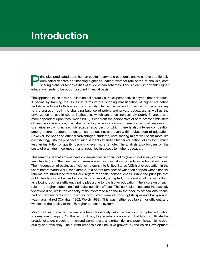## **Introduction**

rinciples predicated upon human capital theory and economic analysis have traditionally dominated debates on financing higher education, whether rate of return analysis, cost sharing plans, or technicalities of student loan schemes. This is clearly important: Higher education needs to be put on a sound financial basis.

The approach taken in this publication deliberately pursues perspectives beyond these debates. It begins by framing the issues in terms of the ongoing massification of higher education and its effects on both financing and equity. Hence the issue of privatization becomes key to the analysis—both the changing balance of public and private education, as well as the privatization of public sector institutions, which are often increasingly poorly financed and more dependent upon fees (Welch 2009). Seen from the perspective of hard-pressed ministers of finance or education, cost sharing in higher education might seem a rational response to scenarios involving increasingly scarce resources, for which there is also intense competition among different sectors: defense, health, housing, and even within subsectors of education. However, for poor and other disadvantaged students, cost sharing might well seem more like cost shifting, with the prospect of such students attending higher education, of any form, much less an institution of quality, becoming ever more remote. The analysis also focuses on the costs of brain drain, corruption, and inequities in access to higher education.

This reminds us that actions have consequences in social policy (even if not always those that are intended), and that financial schemes are as much social instruments as technical solutions. The introduction of business efficiency reforms into United States (US) higher education in the years before World War I, for example, is a potent reminder of what can happen when financial reforms are introduced without due regard for social consequences. While the principle that public funds should be used efficiently is universally accepted, this is not at all the same thing as allowing business efficiency principles alone to rule higher education. The incursion of such rules into higher education had quite specific effects: The curriculum became increasingly vocationalized, while the capacity of the system to respond to the poor, to African-Americans, and to new migrants (who, then as now, often were of non-English speaking background) was marginalized (Callahan 1962, Welch 1998). This was neither equitable, nor efficient, and weakened the quality of the US higher education system.

Mindful of such effects, the analysis here deliberately links the financing of higher education to questions of equity. On this account, any higher education system that fails to cultivate the breadth of talent in society—men and women, rural and urban, rich and poor—is sacrificing both quality and efficiency. The current emphasis on "inclusive growth" by the Asian Development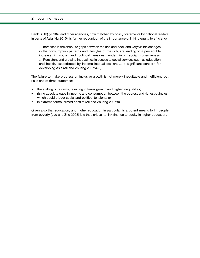#### 2 COUNTING THE COST

Bank (ADB) (2010a) and other agencies, now matched by policy statements by national leaders in parts of Asia (Hu 2010), is further recognition of the importance of linking equity to efficiency:

…increases in the absolute gaps between the rich and poor, and very visible changes in the consumption patterns and lifestyles of the rich, are leading to a perceptible increase in social and political tensions, undermining social cohesiveness. … Persistent and growing inequalities in access to social services such as education and health, exacerbated by income inequalities, are … a significant concern for developing Asia (Ali and Zhuang 2007:4–5).

The failure to make progress on inclusive growth is not merely inequitable and inefficient, but risks one of three outcomes:

- the stalling of reforms, resulting in lower growth and higher inequalities;
- rising absolute gaps in income and consumption between the poorest and richest quintiles, which could trigger social and political tensions; or
- in extreme forms, armed conflict (Ali and Zhuang 2007:9).

Given also that education, and higher education in particular, is a potent means to lift people from poverty (Luo and Zhu 2008) it is thus critical to link finance to equity in higher education.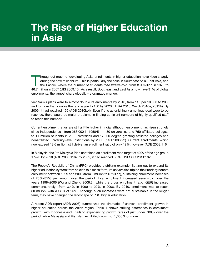## **The Rise of Higher Education in Asia**

Throughout much of developing Asia, enrollments in higher education have risen sharply during the new millennium. This is particularly the case in Southeast Asia, East Asia, and the Pacific, where the number of students rose twelve-fold, from 3.9 million in 1970 to 46.7 million in 2007 (UIS 2009:10). As a result, Southeast and East Asia now have 31% of global enrollments, the largest share globally—a dramatic change.

Viet Nam's plans were to almost double its enrollments by 2010, from 118 per 10,000 to 200, and to more than double the ratio again to 450 by 2020 (HERA 2010; Welch 2010a, 2011b). By 2009, it had reached 195 (ADB 2010b:4). Even if this astonishingly ambitious goal were to be reached, there would be major problems in finding sufficient numbers of highly qualified staff to teach this number.

Current enrollment ratios are still a little higher in India, although enrollment has risen strongly since independence—from 263,000 in 1950/51, in 30 universities and 750 affiliated colleges, to 11 million students in 230 universities and 17,000 degree-granting affiliated colleges and nonaffiliated university-level institutions by 2005 (Kaul 2006:22). Current enrollments, which now exceed 13.6 million, still deliver an enrollment ratio of only 12%, however (ADB 2008:116).

In Malaysia, the 9th Malaysia Plan contained an enrollment ratio target of 40% of the age group 17–23 by 2010 (ADB 2008:116); by 2009, it had reached 36% (UNESCO 2011:182).

The People's Republic of China (PRC) provides a striking example. Setting out to expand its higher education system from an elite to a mass form, its universities tripled their undergraduate enrollment between 1999 and 2003 (from 2 million to 6 million), sustaining enrollment increases of 25%–35% per annum over the period. Total enrollment increased seven-fold over the years 1998–2006 (Wu and Zheng 2008:3), while the gross enrollment ratio (GER) increased commensurately—from 3.4% in 1990 to 22% in 2006. By 2010, enrollment was to reach 30 million, with a GER of 25%. Although such increases were not sustainable in the longer term, they have changed the landscape of PRC higher education.

A recent ADB report (ADB 2008) summarized the dramatic, if uneven, enrollment growth in higher education across the Asian region. Table 1 shows striking differences in enrollment growth, with Indonesia and Thailand experiencing growth rates of just under 700% over the period, while Malaysia and Viet Nam exhibited growth of 1,300% or more.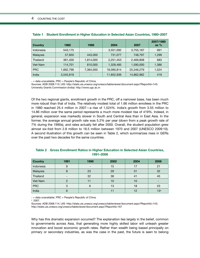| <b>Country</b> | 1980      | 1998                     | 2004       | 2007       | 2007/1980<br>as $%$ |
|----------------|-----------|--------------------------|------------|------------|---------------------|
| Indonesia      | 543,175   | $\overline{\phantom{a}}$ | 3,551,092  | 3,755,187  | 691                 |
| Malaysia       | 57,650    | 443,000                  | 731,077    | 748,797    | 1,299               |
| Thailand       | 361,400   | 1,814,000                | 2,251,453  | 2,469,808  | 683                 |
| Viet Nam       | 114,701   | 810,000                  | 1,328,485  | 1,590,000  | 1,386               |
| <b>PRC</b>     | 1,662,796 | 7,364,000                | 18,090,814 | 25,346,279 | 1,524               |
| India          | 3,545,818 |                          | 11,852,936 | 14,862,962 | 419                 |

|  |  | Table 1 Student Enrollment in Higher Education in Selected Asian Countries, 1980–2007 |  |  |  |  |
|--|--|---------------------------------------------------------------------------------------|--|--|--|--|
|--|--|---------------------------------------------------------------------------------------|--|--|--|--|

 $-$  = data unavailable, PRC = People's Republic of China.

Sources: ADB 2008:113; UIS: http://stats.uis.unesco.org/unesco/tableviewer/document.aspx?ReportId=143; University Grants Commission (India): http://www.ugc.ac.in

Of the two regional giants, enrollment growth in the PRC, off a narrower base, has been much more robust than that of India. The relatively modest total of 1.66 million enrollees in the PRC in 1980 reached 25.4 million in 2007—a rise of 1,524%. India's growth from 3.55 million to 14.86 million over the same period represents a much more modest rise of 419%. Indeed, in general, expansion was markedly slower in South and Central Asia than in East Asia. In the former, the average annual growth rate was 5.2% per year (down from a peak growth rate of 7% during the 1990s), and rates actually fell after 2000. Overall, the student population grew almost six-fold from 2.8 million to 18.5 million between 1970 and 2007 (UNESCO 2009:10). A second illustration of this growth can be seen in Table 2, which summarizes rises in GERs over the past two decades for the same countries.

| <b>Country</b> | 1991                     | 1999 | 2002 | 2004 | 2008            |
|----------------|--------------------------|------|------|------|-----------------|
| Indonesia      | 9                        |      | 15   | 17   | 21              |
| Malaysia       |                          | 23   | 29   | 31   | 32              |
| Thailand       | $\overline{\phantom{0}}$ | 32   | 38   | 41   | 45              |
| Viet Nam       | C                        | 11   | 10   | 10   |                 |
| <b>PRC</b>     | 3                        | 6    | 13   | 18   | 23              |
| India          | 6                        |      | 11   | 12   | 13 <sup>a</sup> |

### **Table 2 Gross Enrollment Ratios in Higher Education in Selected Asian Countries, 1991–2008**

- = data unavailable, PRC = People's Republic of China.

 $a$  2007.

Sources: ADB 2008:114; UIS: http://stats.uis.unesco.org/unesco/tableviewer/document.aspx?ReportId=143; http://stats.uis.unesco.org/unesco/tableviewer/document.aspx?ReportId=167

Why has this dramatic expansion occurred? The explanation lies largely in the belief, common to governments across Asia, that generating more highly skilled labor will unleash greater innovation and boost economic growth rates. Rather than wealth being based principally on primary or secondary industries, as was the case in the past, the future is seen to belong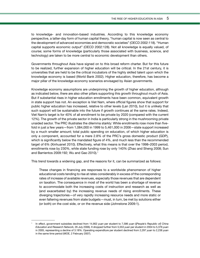to knowledge- and innovation-based industries. According to this knowledge economy perspective, a latter-day form of human capital theory, "human capital is now seen as central to the development of advanced economies and democratic societies" (OECD 2002:118). "Human capital supports economic output" (OECD 2002:128). Not all knowledge is equally valued, of course; some forms of knowledge (particularly those associated with business, science, and technology) are taken to be more central to economic development than others.

Governments throughout Asia have signed on to this broad reform charter. But for this future to be realized, further expansion of higher education will be critical. In the 21st century, it is universities that are held to be the critical incubators of the highly skilled talent upon which the knowledge economy is based (World Bank 2002). Higher education, therefore, has become a major pillar of the knowledge economy scenarios envisaged by Asian governments.

Knowledge economy assumptions are underpinning the growth of higher education, although as indicated below, there are also other pillars supporting this growth throughout much of Asia. But if substantial rises in higher education enrollments have been common, equivalent growth in state support has not. An exception is Viet Nam, where official figures show that support for public higher education has increased, relative to other levels (Lan 2010), but it is unlikely that such support will be sustainable into the future if growth continues at the same rates. Indeed, Viet Nam's target is for 40% of all enrollment to be private by 2020 (compared with the current 12%). The growth of the private sector in India is particularly strong in the mushrooming private unaided sector. The PRC illustrates the dilemma starkly: While enrollments rose more than fivefold in just a few years—from 1,084,000 in 1999 to 5,461,000 in 2006—state support increased by a much smaller amount; total public spending on education, of which higher education is only a component, accounted for a mere 2.8% of the PRC's gross domestic product (GDP), which is significantly below the mandated figure of 4%, and much less than the recommended target of 6% (Xinhuanet 2010). Effectively, what this means is that over the 1998–2003 period, enrollments rose by 230%, while state funding rose by only 140% (Zhao and Sheng 2008; Sun and Barrientos 2009:192; Wu and Gao 2010).<sup>1</sup>

This trend towards a widening gap, and the reasons for it, can be summarized as follows:

These changes in financing are responses to a worldwide phenomenon of higher educational costs tending to rise at rates considerably in excess of the corresponding rates of increase of available revenues, especially those revenues that are dependent on taxation. The consequence in most of the world has been a shortage of revenue to accommodate both the increasing costs of instruction and research as well as (and exacerbated by) the increasing revenue needs of rising enrollments. These diverging trajectories—of very rapidly increasing resource needs and more static or even faltering revenues from state budgets—must, in turn, be met by solutions either (or both) on the cost side, or on the revenue side (Johnstone 2009:1).

<sup>1</sup> In effect, government subsidies declined from 14,902 *yuan* per student to 7,586 *yuan* ([*People's Republic of] China Education and Research Network,* 26 July 2006). It dropped further from 5,553 *yuan* per student in 2004 to 5,376 *yuan* in 2005, representing a decline of 3.18%. Operating expenditure per student declined from 2,297 *yuan* to 2,238 *yuan* in the same time period (MOE, 2 February 2007).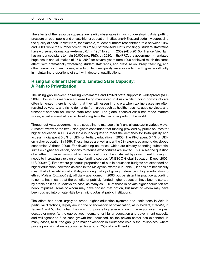The effects of the resource squeeze are readily observable in much of developing Asia, putting pressure on both public and private higher education institutions (HEIs), and certainly depressing the quality of each. In Viet Nam, for example, student numbers rose thirteen-fold between 1987 and 2009, while the number of lecturers rose just three-fold. Not surprisingly, student/staff ratios have worsened dramatically—from 6.6:1 in 1987 to 28:1 in 2009 (ADB 2010b). Hence, Viet Nam has announced plans to train 20,000 new PhDs by 2020. In the PRC, the government-mandated huge rise in annual intakes of 25%–35% for several years from 1999 achieved much the same effect, with dramatically worsening student/staff ratios, and pressure on library, teaching, and other resources. In each case, effects on lecturer quality are also evident, with greater difficulty in maintaining proportions of staff with doctoral qualifications.

## **Rising Enrollment Demand, Limited State Capacity: A Path to Privatization**

The rising gap between spiralling enrollments and limited state support is widespread (ADB 2009). How is this resource squeeze being manifested in Asia? While funding constraints are often lamented, there is no sign that they will lessen in this era when tax increases are often resisted by voters, and rising demands from areas such as health, housing, aged services, and transport compete for limited state resources. The global financial crisis has made matters worse, albeit somewhat less in developing Asia than in other parts of the world.

Throughout Asia, governments are struggling to manage this financial squeeze in various ways. A recent review of the two Asian giants concluded that funding provided by public sources for higher education in PRC and India is inadequate to meet the demands for both quality and access. India spent 0.8% of GDP on tertiary education in 2005. The PRC spent 0.4% of GDP on higher education in 1999. These figures are well under the 2% expended among developed economies (Altbach 2009). For developing countries, which are already spending substantial sums on higher education, options to reduce expenditures are limited. This raises the question of whether further expansion of tertiary education can be sustained by government funding, or needs to increasingly rely on private funding sources (UNESCO Global Education Digest 2009; UIS 2009:49). Even where generous proportions of public education budgets are expended on higher education, however, as seen in the Malaysian example in Table 3, it does not necessarily mean that all benefit equally. Malaysia's long history of giving preference in higher education to ethnic Malays (*bumiputras*), officially abandoned in 2003 but persistent in practice according to some, has meant that the benefits of publicly funded higher education have been distorted by ethnic politics. In Malaysia's case, as many as 90% of those in private higher education are nonbumiputras, some of whom may have chosen that option, but most of whom may have been pushed into private HEIs by ethnic quotas at public institutions.

The effect has been largely to propel higher education systems and institutions in Asia in particular directions, largely around the phenomenon of privatization, as is evident, *inter alia*, in Tables 4 and 5, which chart the growth of private higher education in the region over the past decade or more. As the gap between demand for higher education and government capacity and willingness to fund such growth has increased, so the private sector has expanded, in many cases, to fill the gap. (The major exception in Southeast Asia is the Philippines, where private provision already accounted for around 75% of enrollment.)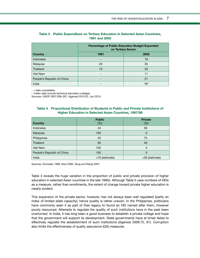|                            | <b>Percentage of Public Education Budget Expended</b><br>on Tertiary Sector |                 |  |  |  |
|----------------------------|-----------------------------------------------------------------------------|-----------------|--|--|--|
| Country                    | 1991<br>2005                                                                |                 |  |  |  |
| Indonesia                  | -                                                                           | 19              |  |  |  |
| Malaysia                   | 20                                                                          | 35              |  |  |  |
| Thailand                   | 15                                                                          | 20              |  |  |  |
| Viet Nam                   | ۰                                                                           | 11              |  |  |  |
| People's Republic of China | -                                                                           | 21              |  |  |  |
| India                      | $\overline{\phantom{0}}$                                                    | 18 <sup>a</sup> |  |  |  |

### **Table 3 Public Expenditure on Tertiary Education in Selected Asian Countries, 1991 and 2005**

- = data unavailable.

a Indian data include technical education colleges.

Sources: UNDP 2007:266–267, Agarwal 2010:22, Lan 2010.

### **Table 4 Proportional Distribution of Students in Public and Private Institutions of Higher Education in Selected Asian Countries, 1997/98**

| Country                    | <b>Public</b><br>(% ) | <b>Private</b><br>(% ) |
|----------------------------|-----------------------|------------------------|
| Indonesia                  | 44                    | 56                     |
| Malaysia                   | 100                   | 0                      |
| Philippines                | 25                    | 75                     |
| Thailand                   | 60                    | 40                     |
| Viet Nam                   | 100                   | 0                      |
| People's Republic of China | 100                   | 0                      |
| India                      | <70 (estimate)        | >30 (estimate)         |

Sources: Gonzalez 1999, Kaul 2006, Zeng and Wang 2007.

Table 4 reveals the huge variation in the proportion of public and private provision of higher education in selected Asian countries in the late 1990s. Although Table 5 uses numbers of HEIs as a measure, rather than enrollments, the extent of change toward private higher education is clearly evident.

This expansion of the private sector, however, has not always been well regulated (partly an index of limited state capacity); hence quality is rather uneven. In the Philippines, politicians have commonly seen it as part of their legacy to found an HEI named after them, however poorly resourced. Attempts to regulate the quality of such institutions have in the past been overturned. In India, it has long been a good business to establish a private college and hope that the government will support its development. State governments have at times failed to effectively regulate the establishment of such institutions (Agarwal 2009:72, 81). Corruption also limits the effectiveness of quality assurance (QA) measures.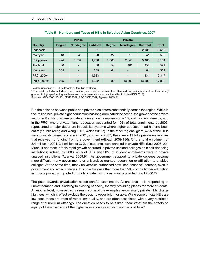|                  | <b>Public</b>                |                          |                 |                          |                          |                 |              |
|------------------|------------------------------|--------------------------|-----------------|--------------------------|--------------------------|-----------------|--------------|
| Country          | <b>Degree</b>                | <b>Nondegree</b>         | <b>Subtotal</b> | <b>Degree</b>            | <b>Nondegree</b>         | <b>Subtotal</b> | <b>Total</b> |
| Indonesia        | $\qquad \qquad \blacksquare$ |                          | 81              | $\overline{\phantom{0}}$ |                          | 2,431           | 2,512        |
| Malaysia         | 18                           | 40                       | 58              | 22                       | 519                      | 541             | 599          |
| Philippines      | 424                          | 1,352                    | 1,776           | 1,363                    | 2,045                    | 3,408           | 5,184        |
| Thailand         | 66                           |                          | 66              | 54                       | 401                      | 455             | 521          |
| Viet Nam         | 305                          | -                        | 305             | 64                       | $\overline{\phantom{a}}$ | 64              | 369          |
| PRC (2009)       |                              | $\overline{\phantom{0}}$ | 1,983           |                          | $\overline{\phantom{0}}$ | 334             | 2,317        |
| India $(2006)^a$ | 245                          | 4,097                    | 4,342           | 80                       | 13,400                   | 13,480          | 17,822       |

|  |  | Table 5 Numbers and Types of HEIs in Selected Asian Countries, 2007 |  |  |  |  |  |  |
|--|--|---------------------------------------------------------------------|--|--|--|--|--|--|
|--|--|---------------------------------------------------------------------|--|--|--|--|--|--|

- = data unavailable, PRC = People's Republic of China.

<sup>a</sup> The total for India includes aided, unaided, and deemed universities. Deemed university is a status of autonomy granted to high-performing institutes and departments in various universities in India (UGC 2011).

Sources: ADB 2008: 45, ICHEFAP 2009, PRC MOE 2007, Agarwal 2009:91.

But the balance between public and private also differs substantially across the region. While in the Philippines, private higher education has long dominated the scene, the growth of the private sector in Viet Nam, where private students now comprise some 13% of total enrollments, and in the PRC, where private higher education accounted for 10% of total enrollments by 2006, represented a major departure in socialist systems where higher education had hitherto been entirely public (Zeng and Wang 2007, Welch 2010a). In the other regional giant, 42% of the HEIs were privately owned and run in 2001, and as of 2007, there were 11 fully private universities that received no funding from the government (Altbach 2009:186). Of the total enrollment of 8.4 million in 2001, 3.1 million, or 37% of students, were enrolled in private HEIs (Kaul 2006: 22). Much, if not most, of this rapid growth occurred in private unaided colleges or in self-financing institutions; indeed, by 2006, 43% of HEIs and 30% of student enrollments were in private unaided institutions (Agarwal 2009:91). As government support to private colleges became more difficult, many governments or universities granted recognition or affiliation to unaided colleges. At the same time, many universities authorized new "self-financed" courses, even in government and aided colleges. It is now the case that more than 50% of the higher education in India is probably imparted through private institutions, mostly unaided (Kaul 2006:22).

The push towards privatization needs careful examination. At one level, it is responding to unmet demand and is adding to existing capacity, thereby providing places for more students. At another level, however, as is seen in some of the examples below, many private HEIs charge high fees, which in effect exclude the poor, however bright or able. While some private HEIs are low cost, these are often of rather low quality, and are often associated with a very restricted range of curriculum offerings. The question needs to be asked, then: What are the effects on equity of the expansion of the higher education system in many parts of Asia?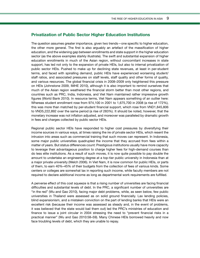### **Privatization of Public Sector Higher Education Institutions**

The question assumes greater importance, given two trends—one specific to higher education, the other more general. The first is also arguably an artefact of the massification of higher education, and the widening gap between enrollments and state support in the higher education sector (as the above examples starkly illustrate). The swift and substantial expansion of higher education enrollments in much of the Asian region, without concomitant increases in state support, has led not only to the expansion of private HEIs, but also to internal privatization of public sector HEIs. Pushed to make up for declining state revenues, at least in per-student terms, and faced with spiralling demand, public HEIs have experienced worsening student/ staff ratios, and associated pressures on staff levels, staff quality and other forms of quality, and various resources. The global financial crisis in 2008–2009 only heightened this pressure on HEIs (Johnstone 2009, IMHE 2010), although it is also important to remind ourselves that much of the Asian region weathered the financial storm better than most other regions, and countries such as PRC, India, Indonesia, and Viet Nam maintained rather impressive growth figures (World Bank 2010). In resource terms, Viet Nam appears something of an outlier here: Whereas student enrollment rose from 974,100 in 2001 to 1,675,700 in 2008 (a rise of 172%), this was more than matched by per-student financial support, which rose from VND1,845,806 to VND5,222,892 over the same period (a rise of 283%). It should be noted, however, that the monetary increase was not inflation adjusted, and moreover was paralleled by dramatic growth in fees and charges collected by public sector HEIs.

Regional public sector HEIs have responded to higher cost pressures by diversifying their income sources in various ways, at times raising the ire of private sector HEIs, which resent the intrusion into areas such as commercial training that such moves can represent. In Indonesia, some major public universities quadrupled the income that they accrued from fees within a matter of years. But status differences count: Prestigious institutions usually have more capacity to leverage their advantageous position to charge higher fees for high-demand courses than do less elite institutions. As a result of such moves, it is now quite possible to pay double the amount to undertake an engineering degree at a top-tier public university in Indonesia than at a major private university (Welch 2006). In Viet Nam, it is now common for public HEIs, or parts of them, to earn 40%–45% of their budgets from the collection of fees of various kinds. Some centers or colleges are somewhat lax in reporting such income, while faculty members are not required to declare additional income as long as departmental work requirements are fulfilled.

A perverse effect of this cost squeeze is that a rising number of universities are facing financial difficulties and substantial levels of debt. In the PRC, a significant number of universities are "in the red" (Wu and Gao 2010), facing major debt problems, while, as seen below, few public universities in Thailand were assessed as on solid ground financially. Lax lending policies, blind expansionism, and a mistaken conviction on the part of lending banks that HEIs were an excellent risk (because their income was assessed as steady and, in the event of problems, it was believed that the state would bail them out) led the PRC's ministries of education and finance to issue a joint circular in 2004 stressing the need to "prevent financial risks in a practical manner" (Wu and Gao 2010:58–59). Many Chinese HEIs borrowed heavily and now face troubling levels of debt, which they are unable to repay.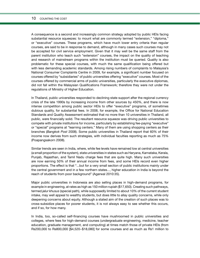#### 10 COUNTING THE COST

A consequence is a second and increasingly common strategy adopted by public HEIs facing substantial resource squeezes: to mount what are commonly termed "extension," "diploma," or "executive" courses. These programs, which have much lower entry criteria than regular courses, are said to be in response to demand, although in many cases such courses may not be accepted for civil service employment. Given that it may well be the same staff from the parent institution who teach such "extension" courses, the impact on the quality of teaching and research of mainstream programs within the institution must be queried. Quality is also problematic for these special courses, with much the same qualification being offered but with less demanding academic standards. Among rising numbers of complaints to Malaysia's National Consumer Complaints Centre in 2009, for example, a significant number focused on courses offered by "subsidiaries" of public universities offering "executive" courses. Most of the courses offered by commercial arms of public universities, particularly the executive diplomas, did not fall within the Malaysian Qualifications Framework; therefore they were not under the regulations of Ministry of Higher Education.

In Thailand, public universities responded to declining state support after the regional currency crisis of the late 1990s by increasing income from other sources by 450%, and there is now intense competition among public sector HEIs to offer "executive" programs, of sometimes dubious quality, for substantial fees. In 2008, for example, the Office for National Education Standards and Quality Assessment estimated that no more than 10 universities in Thailand, all public, were financially solid. The resultant resource squeeze was driving public universities to compete with private institutions for income, particularly by establishing fee-paying "executive" or "special" programs at "learning centers." Many of them are using shopping centers as their branches (*Bangkok Post* 2008). Some public universities in Thailand report that 60% of their income now derives from such strategies, with individual faculties reporting as much as 75% (Poapangsakorn 2008).

Similar trends are seen in India, where, while fee levels have remained low at central universities (a small proportion of the system), state universities in states such as Haryana, Karnataka, Kerala, Punjab, Rajasthan, and Tamil Nadu charge fees that are quite high. Many such universities are now earning 50% of their annual income from fees, and some HEIs record even higher proportions. The effect is that "...but for a very small section of public institutions mainly under the central government and in a few northern states..., higher education in India is beyond the reach of students from poor background" (Agarwal 2010:35).

Major public universities in Indonesia are also selling places in high-demand programs, for example in engineering, at rates as high as 150 million rupiah (\$17,650). Creating such pathways, termed *jalur khusus* (special path), while supposedly limited to about 10% of the current student intake, may well appeal to wealthy students, but does little to allay quality concerns, while only deepening concerns about equity. Although a stated aim of the creation of such places was to cross-subsidize places for poorer students, it is not always easy to see whether this occurs, and if so, for how many.

In India, too, so-called self-financing courses have mushroomed in public universities and colleges, where fees for high-demand courses (undergraduate engineering, medicine, teacher education, graduate management, and computing) at times match those of private HEIs (from Rs200,000 to Rs800,000 [\$4,520−\$18,080] for some courses and as much as Rs1 million to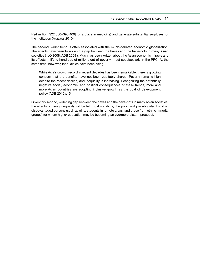Rs4 million [\$22,600−\$90,400] for a place in medicine) and generate substantial surpluses for the institution (Argawal 2010).

The second, wider trend is often associated with the much-debated economic globalization. The effects have been to widen the gap between the haves and the have-nots in many Asian societies ( ILO 2008, ADB 2009 ). Much has been written about the Asian economic miracle and its effects in lifting hundreds of millions out of poverty, most spectacularly in the PRC. At the same time, however, inequalities have been rising:

While Asia's growth record in recent decades has been remarkable, there is growing concern that the benefits have not been equitably shared. Poverty remains high despite the recent decline, and inequality is increasing. Recognizing the potentially negative social, economic, and political consequences of these trends, more and more Asian countries are adopting inclusive growth as the goal of development policy (ADB 2010a:15).

Given this second, widening gap between the haves and the have-nots in many Asian societies, the effects of rising inequality will be felt most starkly by the poor, and possibly also by other disadvantaged persons (such as girls, students in remote areas, and those from ethnic minority groups) for whom higher education may be becoming an evermore distant prospect.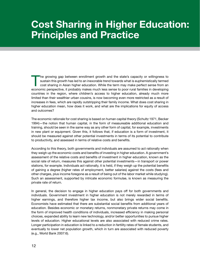## **Cost Sharing in Higher Education: Principles and Practice**

The growing gap between enrollment growth and the state's capacity or willingness to sustain this growth has led to an inexorable trend towards what is euphemistically termed cost sharing in Asian higher education. While the term may make perfect sense from an economic perspective, it probably makes much less sense to poor rural families in developing countries in the region, where children's access to higher education, already much more limited than their wealthier urban cousins, is now becoming even more restricted as a result of increases in fees, which are rapidly outstripping their family income. What does cost sharing in higher education mean, how does it work, and what are the implications for equity of access and outcomes?

The economic rationale for cost sharing is based on human capital theory (Schultz 1971, Becker 1994)—the notion that human capital, in the form of measureable additional education and training, should be seen in the same way as any other form of capital, for example, investments in new plant or equipment. Given this, it follows that, if education is a form of investment, it should be measured against other potential investments in terms of its potential to contribute to productivity, and assessed in terms of relative costs and benefits.

According to this theory, both governments and individuals are assumed to act rationally when they weigh up the economic costs and benefits of investing in higher education. A government's assessment of the relative costs and benefits of investment in higher education, known as the social rate of return, measures this against other potential investments—in transport or power stations, for example. Individuals act rationally, it is held, if they weigh up the potential benefits of gaining a degree (higher rates of employment, better salaries) against the costs (fees and other charges, plus income foregone as a result of being out of the labor market while studying). Such an assessment, supported by intricate economic formulae, is known as measuring the private rate of return.

In general, the decision to engage in higher education pays off for both governments and individuals. Government investment in higher education is not merely rewarded in terms of higher earnings, and therefore higher tax income, but also brings wider social benefits. Economists have estimated that there are substantial social benefits from additional years of education. Besides economic or monetary returns, nonmonetary private returns may come in the form of improved health conditions of individuals, increased efficiency in making personal choices, expanded ability to learn new technology, and/or better opportunities to pursue higher levels of education. Higher educational levels are also associated with reduced crime rates. Longer participation in education is linked to a reduction in fertility rates of female students, and eventually to lower net population growth, which in turn are associated with reduced poverty (e.g., World Bank 2007:6).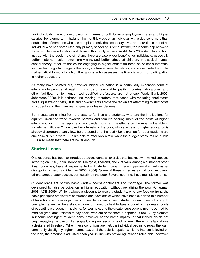For individuals, the economic payoff is in terms of both lower unemployment rates and higher salaries. For example, in Thailand, the monthly wage of an individual with a degree is more than double that of someone who has completed only the secondary level, and four times that of an individual who has completed only primary schooling. Over a lifetime, the income gap between those with higher education and those without only widens (World Bank 2007:4–5). In addition, just as with the social rate of return, there are also wider benefits for individuals, especially better maternal health, lower family size, and better educated children. In classical human capital theory, other rationales for engaging in higher education because of one's interests, such as learning a language or the violin, are treated as externalities, and are excluded from the mathematical formula by which the rational actor assesses the financial worth of participation in higher education.

As many have pointed out, however, higher education is a particularly expensive form of education to provide, at least if it is to be of reasonable quality: Libraries, laboratories, and other facilities, not to mention well-qualified professors, are not cheap (World Bank 2000, Johnstone 2009). It is perhaps unsurprising, therefore, that, faced with rocketing enrollments and a squeeze on costs, HEIs and governments across the region are attempting to shift costs to students and their families, to greater or lesser degrees.

But if costs are shifting from the state to families and students, what are the implications for equity? Given the trend towards parents and families sharing more of the costs of higher education, both in the region and worldwide, how can the effects on the most vulnerable in society be mitigated? How can the interests of the poor, whose access to higher education is already disproportionately low, be protected or enhanced? Scholarships for poor students are one answer, but private HEIs are able to offer only a few, while the budget pressures on public HEIs also mean that there are never enough.

## **Student Loans**

One response has been to introduce student loans, an exercise that has met with mixed success in the region. PRC, India, Indonesia, Malaysia, Thailand, and Viet Nam, among a number of other Asian countries, have all experimented with student loans in recent years—often with rather disappointing results (Ziderman 2003, 2004). Some of these schemes aim at cost recovery; others target greater access, particularly by the poor. Several countries have multiple schemes.

Student loans are of two basic kinds—income-contingent and mortgage. The former was developed to raise participation in higher education without penalizing the poor (Chapman 2008, ADB 2009). While it allows a discount to wealthy students, who pay fees up front, the basic principles of this form of student loan, versions of which have been exported to a number of transitional and developing economies, levy a fee on each student for each year of study. In principle the fee can be a standard one, or varied by field to take account of the greater costs of educating a student in medicine, for example, and the greater subsequent income earned by medical graduates, relative to say social workers or teachers (Chapman 2008). A key element in income-contingent student loans, however, as the name implies, is that individuals do not begin repaying the loan until after graduating and securing a job wherein the income falls above a designated threshold. When these conditions are met, the individual begins to repay the loan, commonly via slightly higher income tax, until the debt is repaid. While no interest is levied on the loan, the amount is adjusted each year in line with prevailing inflation rates (this, however,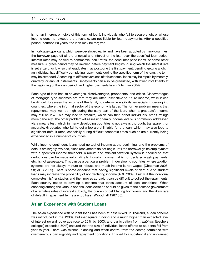#### 14 COUNTING THE COST

is not an inherent principle of this form of loan). Individuals who fail to secure a job, or whose income does not exceed the threshold, are not liable for loan repayments. After a specified period, perhaps 20 years, the loan may be forgiven.

In mortgage-type loans, which were developed earlier and have been adopted by many countries, the borrower pays off all the principal and interest of the loan over the specified loan period. Interest rates may be tied to commercial bank rates, the consumer price index, or some other measure. A grace period may be invoked before payment begins, during which the interest rate is set at zero, or low, so that graduates may postpone the first payment, pending getting a job. If an individual has difficulty completing repayments during the specified term of the loan, the term may be extended. According to different versions of this scheme, loans may be repaid by monthly, quarterly, or annual installments. Repayments can also be graduated, with lower installments at the beginning of the loan period, and higher payments later (Ziderman 2004).

Each type of loan has its advantages, disadvantages, proponents, and critics. Disadvantages of mortgage-type schemes are that they are often insensitive to future income, while it can be difficult to assess the income of the family to determine eligibility, especially in developing countries, where the informal sector of the economy is larger. The former problem means that repayments may well be high during the early part of the loan, when a graduate's income may still be low. This may lead to defaults, which can then affect individuals' credit ratings more generally. The other problem (of assessing family income levels) is commonly addressed via a means test, which in many developing countries is not always thorough, transparent, or accurate. Graduates who fail to get a job are still liable for the loan, which may also lead to significant default rates, especially during difficult economic times such as are currently being experienced in a number of countries.

While income-contingent loans need no test of income at the beginning, and the problems of default are largely avoided, since repayments do not begin until the borrower gains employment with a specified income threshold, a robust and efficient taxation system is needed so that deductions can be made automatically. Equally, income that is not declared (cash payments, etc.) is not assessable. This can be a particular problem in developing countries, where taxation systems are not always mature or robust, and much income is not waged (Chapman 2008: 98; ADB 2009). There is some evidence that having significant levels of debt due to student loans may increase the probability of not declaring income (ADB 2009). Lastly, if the individual completes his/her studies and then moves abroad, it can be difficult to collect the repayments. Each country needs to develop a scheme that takes account of local conditions. When choosing among the various options, consideration should be given to the costs to government of alternative rates of interest subsidy, the burden of debt facing borrowers, and the likely rate of default if repayment terms are too harsh (Woodhall 1987:33).

### **Asian Experience with Student Loans**

The Asian experience with student loans has been at best mixed. In Thailand, a loan scheme was introduced in the 1990s, but inadequate funding and a much higher than expected level of interest (overall coverage rose to 26% by 2003, and participation from *rajabhats* [teachers colleges] exceeded 50%) ensured that the size of individual loans offered to students fell from year to year. There was minimal planning and weak control from the center, combined with overgenerous loan eligibility and repayment conditions. This led to a substantial and unplanned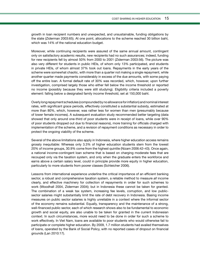growth in loan recipient numbers and unexpected, and unsustainable, funding obligations by the state (Ziderman 2003:65). At one point, allocations to the scheme reached 30 billion baht, which was 14% of the national education budget.

Moreover, while continuing recipients were assured of the same annual amount, contingent only on satisfactory academic results, new recipients had no such assurances; indeed, funding for new recipients fell by almost 50% from 2000 to 2001 (Ziderman 2003:56). The picture was also very different for students in public HEIs, of whom only 13% participated, and students in private HEIs, of whom almost 37% took out loans. Repayments in the early years of the scheme were somewhat chaotic, with more than a quarter not making a single repayment, while another quarter made payments considerably in excess of the due amounts, with some paying off the entire loan. A formal default rate of 30% was recorded, which, however, upon further investigation, comprised largely those who either fell below the income threshold or reported no income (possibly because they were still studying). Eligibility criteria included a poverty element: falling below a designated family income threshold, set at 150,000 baht.

Overly long repayment schedules (compounded by no allowance for inflation) and nominal interest rates, with significant grace periods, effectively constituted a substantial subsidy, estimated at more than 80%, which, however, was rather less for women than men (presumably because of lower female incomes). A subsequent evaluation study recommended better targeting (data showed that only around one-third of poor students were in receipt of loans, while over 90% of poor students dropped out due to financial reasons), more training for officials charged with implementation of the scheme, and a revision of repayment conditions as necessary in order to protect the ongoing viability of the scheme.

Several of the above limitations also apply in Indonesia, where higher education access remains grossly inequitable: Whereas only 3.3% of higher education students stem from the lowest 20% of income groups, 30.9% come from the highest quintile (Nizam 2006:42–43). Once again, a national income-contingent loan scheme that is based on charging moderate fees that are recouped only via the taxation system, and only when the graduate enters the workforce and earns above a certain salary level, could in principle provide more equity in higher education, particularly to more students from poorer classes (Schleicher 2006).

Lessons from international experience underline the critical importance of an efficient banking sector, a robust and comprehensive taxation system, a reliable method to measure *all* income clearly, and effective machinery for collection of repayments in order for such schemes to work (Woodhall 2004, Ziderman 2004); but in Indonesia these cannot be taken for granted. The combination of a weak tax system, increasing fee levels, corruption, and low publicsector salaries might substantially limit the rate of debt recovery in Indonesia. Basing income measures on public sector salaries is highly unreliable in a context where the informal sector of the economy remains substantial. Equally, transparency and the maintenance of a strong, well-financed public sector, each of which research shows also to be fundamental to economic growth and social equity, are also unable to be taken for granted in the current Indonesian context. In such circumstances, more would need to be done in order for such a scheme to work effectively. In Viet Nam, loans are available to poor students who would otherwise fail to participate or complete higher education. By 2009, 1.7 million students had availed themselves of loans, operated by the Bank of Social Policy, with no reported cases of dropout on financial grounds (Lan 2010:17).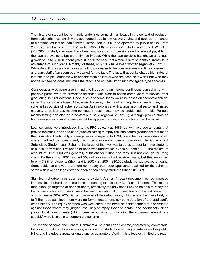#### 16 COUNTING THE COST

The history of student loans in India underlines some similar issues in the context of evolution from early schemes, which were abandoned due to low recovery rates and poor performance, to a national education loan scheme, introduced in 2001 and operated by public banks. From 2007, student loans of up to Rs1 million (\$22,600) for study within India, and up to Rs2 million (\$45,200) for study overseas, have been available. Tax concessions on the interest payable on the loan are available, but are of limited impact. While the loan portfolio has shown an annual growth of up to 69% in recent years, it is still the case that a mere 1% of students currently take advantage of such loans. Notably, of these, only 19% have been women (Agarwal 2009:156). While default rates are low, applicants find processes to be cumbersome and time consuming, and bank staff often seem poorly trained for the task. The facts that banks charge high rates of interest, and pick students with considerable collateral who are seen as low risk but who may not be in need of loans, minimize the reach and equitability of such mortgage-type schemes.

Consideration was being given in India to introducing an income-contingent loan scheme, with possible partial write-off provisions for those who elect to spend some years of service, after graduating, in rural locations. Under such a scheme, loans would be based on economic criteria, rather than on a caste basis. A key issue, however, in terms of both equity and reach of any such scheme lies outside of higher education. As in Indonesia, with a large informal sector and limited capacity to collect tax, income-contingent repayments may be problematic in India. Reliable means testing can also be a contentious issue (Agarwal 2009:159), although proxies such as home ownership or level of fees paid at the applicant's previous institution could be viable.

Loan schemes were introduced into the PRC as early as 1986, but with average amounts that proved too small, and conditions (such as having to repay the loan before graduation) that made them unviable. Predictably, coverage was inadequate. In 1999, two schemes were established: one subsidized by government, the other a more commercial operation. The Government Subsidized Student Loan Scheme, the larger of the two, was targeted at poor full-time students at public universities. Evaluation of need was undertaken by the student's HEI. The maximum amount of Rmb6,000 was generally sufficient for tuition and fees, but not enough for living costs. By the end of 2001, around 30% of applicants had received loans, but this amounted to only 3.8% of students (Shen and Li 2003). By 2004, 830,000 students had availed of loans. Some evidence showed that more non-needy than poor applicants qualified for the scheme, some with lower college entrance scores than needy students (Shen 2010:47).

Significant shortcomings soon became evident. A short (4-year) repayment period imposed impossible debt burdens on students, amounting to at least 24% of annual income. This meant that, although targeted at poor students, effectively the only ones likely to be able to repay the loans over such a short period were the very ones who did not need loans in the first place (Sun and Barrientos 2009:202). Banks bore most of the default risks, which made them less likely to fulfil their quotas, since there were no formal guarantors, nor consideration of the applicant's credit history. The equity criterion was weakened, both because banks tended to discriminate against those whom they judged less likely to repay (poor students), and additionally since poorer local governments (which were responsible for providing the scheme's interest rate subsidy) were less able to support the scheme.

The second scheme, the General Commercial Student Loan Scheme, operated by commercial banks and rural credit cooperatives, was open to students attending private as well as public HEIs, and included parents or guardians as guarantors. Again, this effectively limited the reach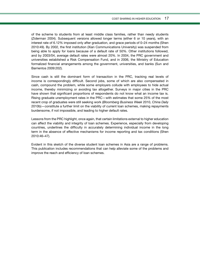of the scheme to students from at least middle class families, rather than needy students (Ziderman 2004). Subsequent versions allowed longer terms (either 6 or 10 years), with an interest rate of 6.12% imposed only after graduation, and grace periods of 0–24 months (Shen 2010:49). By 2002, the first institution (Xian Communications University) was suspended from being able to apply for loans because of a default rate of 50%. Other institutions followed, and by 2003/04, average default rates were almost 20%. In 2004, the PRC government and universities established a Risk Compensation Fund, and in 2006, the Ministry of Education formalized financial arrangements among the government, universities, and banks (Sun and Barrientos 2009:202).

Since cash is still the dominant form of transaction in the PRC, tracking real levels of income is correspondingly difficult. Second jobs, some of which are also compensated in cash, compound the problem, while some employers collude with employees to hide actual income, thereby minimizing or avoiding tax altogether. Surveys in major cities in the PRC have shown that significant proportions of respondents do not know what an income tax is. Rising graduate unemployment rates in the PRC—with estimates that some 25% of the most recent crop of graduates were still seeking work (*Bloomberg Business Week* 2010, *China Daily* 2010b)—constitute a further limit on the viability of current loan schemes, making repayments burdensome, if not impossible, and leading to higher default rates.

Lessons from the PRC highlight, once again, that certain limitations external to higher education can affect the viability and integrity of loan schemes. Experience, especially from developing countries, underlines the difficulty in accurately determining individual income in the long term in the absence of effective mechanisms for income reporting and tax conditions (Shen 2010:46–47).

Evident in this sketch of the diverse student loan schemes in Asia are a range of problems. This publication includes recommendations that can help alleviate some of the problems and improve the reach and efficiency of loan schemes.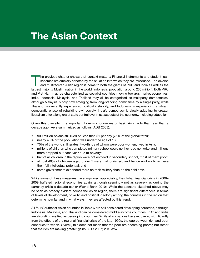## **The Asian Context**

The previous chapter shows that context matters: Financial instruments and student loan schemes are crucially affected by the situation into which they are introduced. The diverse and multifaceted Asian region is home to both the giants of PRC and India as well as the largest majority Muslim nation in the world (Indonesia, population around 230 million). Both PRC and Viet Nam may be characterized as socialist countries moving towards market economies. India, Indonesia, Malaysia, and Thailand may all be categorized as multiparty democracies, although Malaysia is only now emerging from long-standing dominance by a single party, while Thailand has recently experienced political instability, and Indonesia is experiencing a vibrant democratic phase of rebuilding civil society. India's democracy is slowly adapting to greater liberalism after a long era of state control over most aspects of the economy, including education.

Given this diversity, it is important to remind ourselves of basic Asia facts that, less than a decade ago, were summarized as follows (ADB 2003):

- 900 million Asians still lived on less than \$1 per day (75% of the global total);
- nearly 40% of the population was under the age of 18;
- 75% of the world's illiterates, two-thirds of whom were poor women, lived in Asia;
- millions of children who completed primary school could neither read nor write, and millions more dropped out each year due to poverty;
- half of all children in the region were not enrolled in secondary school, most of them poor;
- almost 40% of children aged under 5 were malnourished, and hence unlikely to achieve their full intellectual potential; and
- some governments expended more on their military than on their children.

While some of these measures have improved appreciably, the global financial crisis in 2008– 2009 buffeted regional economies again, although seemingly not as severely as during the currency crisis a decade earlier (World Bank 2010). While the scenario sketched above may be seen as broadly evident across the Asian region, there are significant differences in terms of levels of development, poverty, and political ideology among the countries in the region that determine how far, and in what ways, they are affected by this trend.

All four Southeast Asian countries in Table 6 are still considered developing countries, although Indonesia, Malaysia, and Thailand can be considered middle-income countries. PRC and India are also still classified as developing countries. While all six nations have recovered significantly from the effects of the regional financial crisis of the late 1990s, the gap between rich and poor continues to widen. Overall, this does not mean that the poor are becoming poorer, but rather that the rich are making greater gains (ADB 2007; 2010a:57).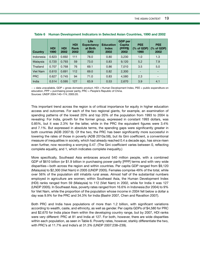| Country         | <b>HDI</b><br>1990 | <b>HDI</b><br>2002 | <b>HDI</b><br><b>Rank</b><br>2002 | Life<br><b>Expectancy</b><br>at Birth<br>2002 | <b>Education</b><br><b>Index</b><br>2002 | <b>GDP</b> per<br>Capita<br>(PPP\$)<br>2002 | <b>PEE</b><br>(% of GDP)<br>1990 | <b>PEE</b><br>% of GDP)<br>2002 |
|-----------------|--------------------|--------------------|-----------------------------------|-----------------------------------------------|------------------------------------------|---------------------------------------------|----------------------------------|---------------------------------|
| Indonesia       | 0.623              | 0.692              | 111                               | 78.0                                          | 0.80                                     | 3,230                                       | 1.0                              | 1.3                             |
| Malaysia        | 0.720              | 0.793              | 59                                | 73.0                                          | 0.83                                     | 9,120                                       | 5.2                              | 7.9                             |
| Thailand        | 0.707              | 0.768              | 76                                | 69.1                                          | 0.86                                     | 7,010                                       | 3.5                              | 5.0                             |
| <b>Viet Nam</b> | 0.610              | 0.691              | 112                               | 69.0                                          | 0.82                                     | 2,300                                       | $\overline{\phantom{a}}$         | $\overline{\phantom{a}}$        |
| <b>PRC</b>      | 0.627              | 0.745              | 94                                | 71.0                                          | 0.83                                     | 4,580                                       | 2.3                              | $\overline{\phantom{a}}$        |
| India           | 0.514              | 0.595              | 127                               | 63.9                                          | 0.53                                     | 2,670                                       | 3.9                              | 4.1                             |

− = data unavailable, GDP = gross domestic product, HDI = Human Development Index, PEE = public expenditure on education, PPP = purchasing power parity, PRC = People's Republic of China. Sources: UNDP 2004:140–174; 2005:20.

This important trend across the region is of critical importance for equity in higher education access and outcomes. For each of the two regional giants, for example, an examination of spending patterns of the lowest 20% and top 20% of the population from 1993 to 2004 is revealing: For India, growth for the former group, expressed in constant 1993 dollars, was 0.85%, but it was 2.3% for the latter, while in the PRC the equivalent figures were 3.4% and 7.1%. But expressed in absolute terms, the spending gaps were significantly greater in both countries (ADB 2007:9). Of the two, the PRC has been significantly more successful in lowering the rates of those in poverty (ADB 2010a:58), but its Gini coefficient, a conventional measure of inequalities in society, which had already reached 0.4 a decade ago, has since risen even further, now recording a worrying 0.47. (The Gini coefficient varies between 0, reflecting complete equality, and 1, which indicates complete inequality.)

More specifically, Southeast Asia embraces around 540 million people, with a combined GDP of \$610 billion (or \$1.9 billion in purchasing power parity [PPP] terms and with very wide disparities—both across the region and within countries. Per capita GDP ranged from \$9,120 (Malaysia) to \$2,300 (Viet Nam) in 2005 (UNDP 2005). Females comprise 49% of the total, while over 56% of the population still inhabits rural areas. Almost half of the substantial numbers employed in agriculture are women; within Southeast Asia, the Human Development Index (HDI) ranks ranged from 59 (Malaysia) to 112 (Viet Nam) in 2002, while for India it was 127 (UNDP 2005). In Southeast Asia, poverty rates ranged from 16.6% in Indonesia (for 2004) to 9% for Viet Nam, while the proportion of the population whose income in 2004 fell below a dollar a day was 9.9% for the PRC and 34.3% for India (Bashir 2007, Chen and Ravallion 2007).

Both PRC and India have populations of more than 1.2 billion, with significant variations according to wealth, caste, and ethnicity, as well as gender. Per capita GDPs of \$4,580 for PRC and \$2,670 for India place them within the developing country range, but by 2007, HDI ranks were very different: PRC at 81 and India at 127. For both, however, there are wide disparities within each population, as seen in Table 6. Poverty rates, however, starkly differentiate the two, with PRC's at 11.7% and India's at 31.3% (UNDP 2007:238–239).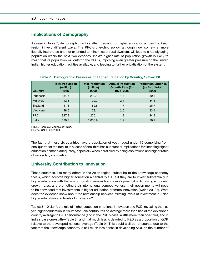### **Implications of Demography**

As seen in Table 7, demographic factors affect demand for higher education across the Asian region in very different ways. The PRC's one-child policy, although now somewhat more liberally interpreted and not extended to minorities or rural dwellers, will lead to a rapidly aging population within the next two decades. India's higher rate of population growth is likely to mean that its population will outstrip the PRC's, imposing even greater pressure on the limited Indian higher education facilities available, and leading to further privatization of the system.

| Country    | <b>Total Population</b><br>(million)<br>1975 | <b>Total Population</b><br>(million)<br>2000 | <b>Annual Population</b><br>Growth Rate (%)<br>1975-2000 | <b>Population under 15</b><br>(as % of total)<br>2000 |
|------------|----------------------------------------------|----------------------------------------------|----------------------------------------------------------|-------------------------------------------------------|
| Indonesia  | 134.6                                        | 212.1                                        | 1.8                                                      | 30.8                                                  |
| Malaysia   | 12.3                                         | 22.2                                         | 2.4                                                      | 34.1                                                  |
| Thailand   | 41.1                                         | 62.8                                         | 1.7                                                      | 26.7                                                  |
| Viet Nam   | 48.0                                         | 78.1                                         | 2.0                                                      | 33.4                                                  |
| <b>PRC</b> | 927.8                                        | 1.275.1                                      | 1.3                                                      | 24.8                                                  |
| India      | 620.7                                        | 1.008.9                                      | 1.9                                                      | 26.9                                                  |

#### **Table 7 Demographic Pressures on Higher Education by Country, 1975–2000**

PRC = People's Republic of China. Source: UNDP 2002:164.

The fact that these six countries have a population of youth aged under 15 comprising from one-quarter of the total to in excess of one-third has substantial implications for financing higher education demand adequately, especially when paralleled by rising aspirations and higher rates of secondary completion.

## **University Contribution to Innovation**

These countries, like many others in the Asian region, subscribe to the knowledge economy thesis, which accords higher education a central role. But if they are to invest substantially in higher education with the aim of boosting research and development (R&D), raising economic growth rates, and promoting their international competitiveness, their governments will need to be convinced that investments in higher education promote innovation (Welch 2010c). What does the evidence show about the relationship between existing levels of investment in Asian higher education and levels of innovation?

Tables 8−10 clarify the role of higher education in national innovation and R&D, revealing that, as yet, higher education in Southeast Asia contributes on average more than half of the developed country average to R&D performance (and in the PRC's case, a little more than one-third, and in India's case one-sixth—Table 8), and that much less is devoted to R&D as a proportion of GDP, relative to the developed nations' average (Table 9). This could well be, of course, due to the fact that the knowledge economy is still much less dense in developing Asia, as the number of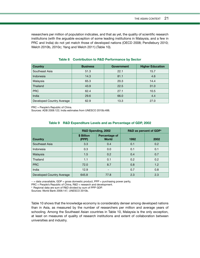researchers per million of population indicates, and that as yet, the quality of scientific research institutions (with the arguable exception of some leading institutions in Malaysia, and a few in PRC and India) do not yet match those of developed nations (OECD 2008; Pendlebury 2010; Welch 2010b, 2010c; Yang and Welch 2011) (Table 10).

| <b>Country</b>            | <b>Business</b> | <b>Government</b> | <b>Higher Education</b> |
|---------------------------|-----------------|-------------------|-------------------------|
| Southeast Asia            | 51.3            | 22.1              | 15.7                    |
| Indonesia                 | 14.3            | 81.1              | 4.6                     |
| Malaysia                  | 65.3            | 20.3              | 14.4                    |
| Thailand                  | 43.9            | 22.5              | 31.0                    |
| <b>PRC</b>                | 62.4            | 27.1              | 10.5                    |
| India                     | 29.6            | 66.0              | 4.4                     |
| Developed Country Average | 62.9            | 13.3              | 27.0                    |

#### **Table 8 Contribution to R&D Performance by Sector**

PRC = People's Republic of China.

Sources: ADB 2008:122; India estimates from UNESCO 2010b:488.

|                           |                     | R&D Spending, 2002            | R&D as percent of GDP <sup>a</sup> |      |  |
|---------------------------|---------------------|-------------------------------|------------------------------------|------|--|
| Country                   | \$ Billion<br>(PPP) | Percentage of<br><b>World</b> | 1992                               | 2002 |  |
| Southeast Asia            | 3.3                 | 0.4                           | 0.1                                | 0.2  |  |
| Indonesia                 | 0.3                 | 0.0                           | 0.1                                | 0.1  |  |
| Malaysia                  | 1.5                 | 0.2                           | 0.4                                | 0.7  |  |
| Thailand                  | 1.1                 | 0.1                           | 0.2                                | 0.2  |  |
| <b>PRC</b>                | 72.0                | 8.7                           | 0.8                                | 1.2  |  |
| India                     | 12.9                | $\overline{\phantom{0}}$      | 0.7                                | 0.8  |  |
| Developed Country Average | 645.8               | 77.8                          | 2.3                                | 2.3  |  |

#### **Table 9 R&D Expenditure Levels and as Percentage of GDP, 2002**

− = data unavailable, GDP = gross domestic product, PPP = purchasing power parity,

PRC = People's Republic of China, R&D = research and development.

<sup>a</sup> Regional data are sum of R&D divided by sum of PPP GDP.

Sources: World Bank 2006:147, UNESCO 2010b.

Table 10 shows that the knowledge economy is considerably denser among developed nations than in Asia, as measured by the number of researchers per million and average years of schooling. Among the Southeast Asian countries in Table 10, Malaysia is the only exception, at least on measures of quality of research institutions and extent of collaboration between universities and industry.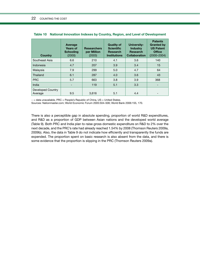| <b>Country</b>                      | Average<br><b>Years of</b><br><b>Schooling</b><br>(2000) | <b>Researchers</b><br>per Million<br>(2003) | <b>Quality of</b><br><b>Scientific</b><br><b>Research</b><br><b>Institutions</b> | <b>University-</b><br><b>Industry</b><br><b>Research</b><br><b>Collaboration</b> | <b>Patents</b><br><b>Granted by</b><br><b>US Patent</b><br><b>Office</b><br>$(2000 - 2004)$ |
|-------------------------------------|----------------------------------------------------------|---------------------------------------------|----------------------------------------------------------------------------------|----------------------------------------------------------------------------------|---------------------------------------------------------------------------------------------|
| Southeast Asia                      | 6.6                                                      | 210                                         | 4.1                                                                              | 3.6                                                                              | 140                                                                                         |
| Indonesia                           | 4.7                                                      | 207                                         | 3.9                                                                              | 3.4                                                                              | 15                                                                                          |
| Malaysia                            | 7.9                                                      | 299                                         | 5.0                                                                              | 4.7                                                                              | 64                                                                                          |
| Thailand                            | 6.1                                                      | 287                                         | 4.0                                                                              | 3.6                                                                              | 43                                                                                          |
| <b>PRC</b>                          | 5.7                                                      | 663                                         | 3.8                                                                              | 3.9                                                                              | 368                                                                                         |
| India                               |                                                          | 119                                         | 5.1                                                                              | 3.3                                                                              |                                                                                             |
| <b>Developed Country</b><br>Average | 9.5                                                      | 3.616                                       | 5.1                                                                              | 4.4                                                                              |                                                                                             |

| Table 10 National Innovation Indexes by Country, Region, and Level of Development |  |  |  |
|-----------------------------------------------------------------------------------|--|--|--|
|                                                                                   |  |  |  |

− = data unavailable, PRC = People's Republic of China, US = United States.

Sources: Nationmaster.com; World Economic Forum 2005:504–506; World Bank 2006:155, 170.

There is also a perceptible gap in absolute spending, proportion of world R&D expenditures, and R&D as a proportion of GDP between Asian nations and the developed world average (Table 9). Both PRC and India plan to raise gross domestic expenditure on R&D to 2% over the next decade, and the PRC's rate had already reached 1.54% by 2008 (Thomson Reuters 2009a, 2009b). Also, the data in Table 9 do not indicate how efficiently and transparently the funds are expended. The proportion spent on basic research is also absent from the data, and there is some evidence that the proportion is slipping in the PRC (Thomson Reuters 2009a).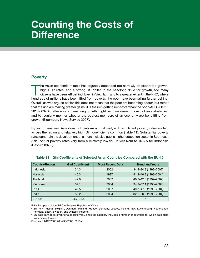## **Counting the Costs of Difference**

## **Poverty**

The Asian economic miracle has arguably depended too narrowly on export-led growth,<br>high GDP rates, and a strong US dollar. In the headlong drive for growth, too many<br>citizens have been left behind. Even in Viet Nam, and t high GDP rates, and a strong US dollar. In the headlong drive for growth, too many citizens have been left behind. Even in Viet Nam, and to a greater extent in the PRC, where hundreds of millions have been lifted from poverty, the poor have been falling further behind. Overall, as was argued earlier, this does not mean that the poor are becoming poorer, but rather that the rich are making greater gains; it is the rich getting rich faster than the poor (ADB 2007:6; 2010a:63). A better way of measuring growth might be to implement more inclusive strategies, and to regularly monitor whether the poorest members of an economy are benefitting from growth (Bloomberg News Service 2007).

By such measures, Asia does not perform all that well, with significant poverty rates evident across the region and relatively high Gini coefficients common (Table 11). Substantial poverty rates constrain the development of a more inclusive public higher education sector in Southeast Asia. Actual poverty rates vary from a relatively low 9% in Viet Nam to 16.6% for Indonesia (Bashir 2007:8).

| <b>Country/Region</b> | <b>Gini Coefficient</b> | <b>Most Recent Data</b> | <b>Trend and Years</b> |
|-----------------------|-------------------------|-------------------------|------------------------|
| Indonesia             | 34.3                    | 2002                    | 34.4-34.3 (1993-2002)  |
| Malaysia              | 40.3                    | 1997                    | 41.2-40.3 (1993-2004)  |
| Thailand              | 42.0                    | 2002                    | 46.2-42.0 (1992-2002)  |
| Viet Nam              | 37.1                    | 2004                    | 34.9-37.1 (1993-2004)  |
| <b>PRC</b>            | 47.5                    | 2007                    | 40.7-47.2 (1993-2004)  |
| India                 | 36.2                    | 2004                    | 32.9-36.2 (1993-2004)  |
| $EU-15a$              | $24.7 - 38.5$           | $-b$                    | $-b$                   |

#### **Table 11 Gini Coefficients of Selected Asian Countries Compared with the EU-15**

EU = European Union, PRC = People's Republic of China.

a EU-15 = Austria, Belgium, Denmark, Finland, France, Germany, Greece, Ireland, Italy, Luxembourg, Netherlands, Portugal, Spain, Sweden, and United Kingdom.

**b** EU data cannot be given for a specific year, since the category includes a number of countries for which data stem from different years.

Sources: UNDP 2005:26; ADB 2007, 2010a.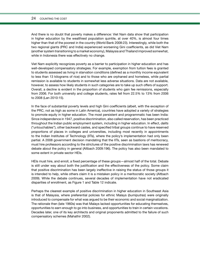#### 24 COUNTING THE COST

And there is no doubt that poverty makes a difference: Viet Nam data show that participation in higher education by the wealthiest population quintile, at over 40%, is almost four times higher than that of the poorest in the country (World Bank 2008:23). Interestingly, while both the two regional giants (PRC and India) experienced worsening Gini coefficients, as did Viet Nam (another system transitioning to a market economy), Malaysia and Thailand improved somewhat, while in Indonesia there was effectively no change.

Viet Nam explicitly recognizes poverty as a barrier to participation in higher education and has well-developed compensatory strategies. For example, exemption from tuition fees is granted to students assessed as living in starvation conditions (defined as a monthly income equivalent to less than 13 kilograms of rice) and to those who are orphaned and homeless, while partial remission is available to students in somewhat less adverse situations. Data are not available, however, to assess how likely students in such categories are to take up such offers of support. Overall, a decline is evident in the proportion of students who gain fee remissions, especially from 2006. For both university and college students, rates fell from 22.5% to 13% from 2006 to 2008 (Lan 2010:15).

In the face of substantial poverty levels and high Gini coefficients (albeit, with the exception of the PRC, not as high as some in Latin America), countries have adopted a variety of strategies to promote equity in higher education. The most persistent and programmatic has been India: Since independence in 1947, positive discrimination, also called reservation, has been practiced throughout the Indian public employment system, including in higher education. In effect, *dalits* ("untouchables"), other backward castes, and specified tribal groups continue to have reserved proportions of places in colleges and universities, including most recently in appointments to the Indian Institutes of Technology (IITs), where the policy's implementation had only been partial. A 2008 government decision mandating that the IITs, seen as bastions of meritocracy, must hire professors according to the strictures of the positive discrimination laws has renewed debate about the policy in general (Altbach 2009:196). The policy has also been mandated to some extent in private sector HEIs.

HEIs must hire, and enroll, a fixed percentage of these groups—almost half of the total. Debate is still under way about both the justification and the effectiveness of the policy. Some claim that positive discrimination has been largely ineffective in raising the status of those groups it is intended to help, while others claim it is a mistaken policy in a meritocratic society (Altbach 2009). While the debate continues, several decades of implementation have not eradicated disparities of enrollment, as Figure 1 and Table 12 indicate.

Perhaps the clearest example of positive discrimination in higher education in Southeast Asia is that of Malaysia, where preferential policies for ethnic Malays (*bumiputras*) were originally introduced to compensate for what was argued to be their economic and social marginalization. The rationale then (late 1960s) was that Malays lacked opportunities for educating themselves, opportunities to earn enough to go into business, and opportunities to train in certain vocations. Decades later, one of its key architects and original proponents admitted to the failure of such compensatory schemes (Mahathir 2002).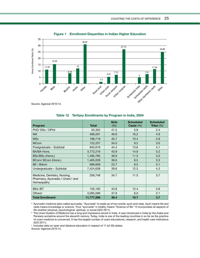

**Figure 1 Enrollment Disparities in Indian Higher Education**

| Program                                                                                                  | <b>Total</b> | <b>Girls</b><br>(% ) | <b>Scheduled</b><br>Caste $(\%)$ | <b>Scheduled</b><br>Tribe $(\%)$ |
|----------------------------------------------------------------------------------------------------------|--------------|----------------------|----------------------------------|----------------------------------|
| PhD/DSc / DPhil                                                                                          | 55,352       | 41.2                 | 5.8                              | 2.4                              |
| <b>MA</b>                                                                                                | 469,291      | 46.6                 | 16.2                             | 4.9                              |
| <b>MSc</b>                                                                                               | 198,719      | 45.7                 | 10.4                             | 2.8                              |
| <b>MCom</b>                                                                                              | 122,257      | 34.0                 | 9.2                              | 3.0                              |
| Postgraduate - Subtotal                                                                                  | 845,619      | 44.4                 | 13.6                             | 4.1                              |
| BA/BA Hons.                                                                                              | 3,772,216    | 43.9                 | 14.9                             | 5.2                              |
| BSc/BSc (Hons.)                                                                                          | 1,490,785    | 38.9                 | 11.3                             | 3.3                              |
| BCom/ BCom (Hons.)                                                                                       | 1,465,028    | 36.6                 | 8.5                              | 3.3                              |
| BE / BArch                                                                                               | 696,609      | 23.7                 | 8.5                              | 3.1                              |
| Undergraduate - Subtotal                                                                                 | 7,424,638    | 39.6                 | 12.3                             | 4.3                              |
| Medicine, Dentistry, Nursing,<br>Pharmacy, Ayurvedic, <sup>a</sup> Unani, <sup>b</sup> and<br>Homeopathy | 256,748      | 34.7                 | 11.5                             | 3.7                              |
| BEd/BT                                                                                                   | 155,192      | 43.8                 | 12.4                             | 5.8                              |
| Others <sup>c</sup>                                                                                      | 3,095,099    | 37.9                 | 6.0                              | 2.1                              |
| <b>Total Enrollment</b>                                                                                  | 11,777,296   | 39.4                 | 10.7                             | 3.7                              |

#### **Table 12 Tertiary Enrollments by Program in India, 2004**

a Ayurvedic medicine (also called ayurveda). "Ayurveda" is made up of two words: ayuh and veda. Ayuh means life and veda means knowledge or science. Thus "ayurveda" in totality means "Science of life." It incorporates all aspects of life whether physical, psychological, spiritual, or social (GOI 2011).

**b** The Unani System of Medicine has a long and impressive record in India. It was introduced in India by the Arabs and Persians sometime around the eleventh century. Today, India is one of the leading countries in so far as the practice of unani medicine is concerned. It has the largest number of unani educational, research, and health care institutions (GOI 2011).

<sup>c</sup> Includes data on open and distance education in respect of 11 (of 30) states.

Source: Agarwal 2010:14.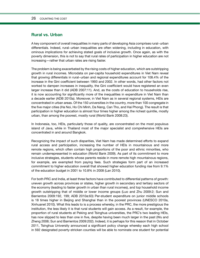### **Rural vs. Urban**

A key component of overall inequalities in many parts of developing Asia comprises rural−urban differentials. Indeed, rural−urban inequalities are often widening, including in education, with ominous implications for achieving stated goals of inclusive growth. Once again, as with the poverty dimension, this is not to say that rural rates of participation in higher education are not increasing—rather that urban rates are rising faster.

The problem is being exacerbated by the rising costs of higher education, which are outstripping growth in rural incomes. Microdata on per-capita household expenditures in Viet Nam reveal that growing differentials in rural−urban and regional expenditures account for 108.4% of the increase in the Gini coefficient between 1993 and 2002. In other words, had other factors not worked to dampen increases in inequality, the Gini coefficient would have registered an even larger increase than it did (ADB 2007:11). And, as the costs of education to households rise, it is now accounting for significantly more of the inequalities in expenditure in Viet Nam than a decade earlier (ADB 2010a). Moreover, in Viet Nam as in several regional systems, HEIs are concentrated in urban areas. Of the 150 universities in the country, more than 100 congregate in the five major cities (Ha Noi, Ho Chi Minh, Da Nang, Can Tho, and Hai Phong). The result is that participation in higher education is almost four times higher among the richest quintile, mostly urban, than among the poorest, mostly rural (World Bank 2008:23).

In Indonesia, too, HEIs, particularly those of quality, are concentrated on the most populous island of Java, while in Thailand most of the major specialist and comprehensive HEIs are concentrated in and around Bangkok.

Recognizing the impact of such disparities, Viet Nam has made determined efforts to expand rural access and participation, increasing the number of HEIs in mountainous and more remote regions, which often contain high proportions of the poor and ethnic minorities, who remain underrepresented in education (World Bank 2009). As part of its commitment to more inclusive strategies, students whose parents reside in more remote high mountainous regions, for example, are exempted from paying fees. Such strategies form part of an increased commitment to higher education overall that showed higher education funding rise from 9.1% of the education budget in 2001 to 10.8% in 2008 (Lan 2010).

For both PRC and India, at least three factors have contributed to differential patterns of growth: uneven growth across provinces or states, higher growth in secondary and tertiary sectors of the economy (leading to faster growth in urban than rural incomes), and top household income growth outstripping that of middle or lower income groups (Luo and Zhu 2009:2; Sun and Barrientos 2009:192, 199; ADB 2010a:63) Per-student expenditure on junior middle schools is 18 times higher in Beijing and Shanghai than in the poorest provinces (UNESCO 2010a, Xinhuanet 2010). What this leads to is a process whereby, in the PRC, the more prestigious the institution, the less likely it is that rural students will gain access. As a result, for example, the proportion of rural students at Peking and Tsinghua universities, the PRC's two leading HEIs, has now slipped to less than one in five, despite having been much larger in the past (Wu and Zheng 2008; Sun and Barrientos 2009:202). Indeed, it is perhaps for this reason that in October 2011, Tsinghua University announced a significant policy change whereby each high school in 592 designated poverty-stricken counties will be able to nominate one student for potential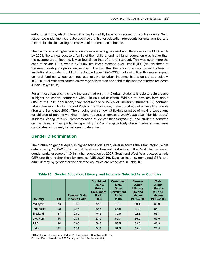entry to Tsinghua, which in turn will accept a slightly lower entry score from such students. Such responses underline the greater sacrifice that higher education represents for rural families, and their difficulties in availing themselves of student loan schemes.

The rising costs of higher education are exacerbating rural−urban differences in the PRC. While by 2001, the annual cost to a family of their child attending higher education was higher than the average urban income, it was four times that of a rural resident. This was even more the case at private HEIs, where by 2006, fee levels reached over Rmb12,000 (double those at the most prestigious public universities). The fact that the proportion contributed by fees to institutional budgets of public HEIs doubled over 1996−2003 had a significantly greater impact on rural families, whose earnings gap relative to urban incomes had widened appreciably. In 2010, rural residents earned an average of less than one-third of the income of urban residents (*China Daily* 2010a).

For all these reasons, it is now the case that only 1 in 6 urban students is able to gain a place in higher education, compared with 1 in 20 rural students. While rural dwellers form about 80% of the PRC population, they represent only 15.6% of university students. By contrast, urban dwellers, who form about 20% of the workforce, make up 84.4% of university students (Sun and Barrientos 2009). The ongoing and somewhat flexible practice of making exceptions for children of parents working in higher education (*gaoxiao jiaozhigong zidi*), "flexible quota" students (*jidong zhibiao*), "recommended students" (*baosongsheng*), and students admitted on the basis of their particular speciality (*tezhaosheng*) actively discriminates against rural candidates, who rarely fall into such categories.

### **Gender Discrimination**

The picture on gender equity in higher education is very diverse across the Asian region. While data covering 1970−2007 show that Southeast Asia and East Asia and the Pacific had achieved gender parity (a score of 1.0) in higher education by 2007, South and West Asia revealed a male GER one-third higher than for females (UIS 2009:16). Data on income, combined GER, and adult literacy by gender for the selected countries are presented in Table 13.

| <b>Country</b>  | <b>HDI</b> | <b>Female: Male</b><br><b>Income Ratio</b> | <b>Combined</b><br><b>Female</b><br><b>Gross</b><br><b>Enrollment</b><br>Ratio<br>2006 | <b>Combined</b><br><b>Male</b><br><b>Gross</b><br><b>Enrollment</b><br>Ratio<br>2006 | <b>Female</b><br><b>Adult</b><br>Literacy<br>$(15$ and<br>above)<br>1999-2006 | <b>Male</b><br><b>Adult</b><br>Literacy<br>$(15$ and<br>above)<br>1999-2006 |
|-----------------|------------|--------------------------------------------|----------------------------------------------------------------------------------------|--------------------------------------------------------------------------------------|-------------------------------------------------------------------------------|-----------------------------------------------------------------------------|
| Malaysia        | 63         | 0.44                                       | 69.8                                                                                   | 73.1                                                                                 | 89.1                                                                          | 93.9                                                                        |
| Indonesia       | 109        | 0.46                                       | 69.5                                                                                   | 66.8                                                                                 | 87.4                                                                          | 94.7                                                                        |
| Thailand        | 81         | 0.62                                       | 76.6                                                                                   | 79.6                                                                                 | 92.3                                                                          | 95.7                                                                        |
| <b>Viet Nam</b> | 114        | 0.71                                       | 63.9                                                                                   | 60.7                                                                                 | 86.9                                                                          | 93.9                                                                        |
| <b>PRC</b>      | 94         | 0.65                                       | 68.9                                                                                   | 58.5                                                                                 | 89.5                                                                          | 96.3                                                                        |
| India           | 132        | 0.32                                       | 64.3                                                                                   | 57.5                                                                                 | 53.4                                                                          | 76.4                                                                        |

**Table 13 Gender, Education, Literacy, and Income in Selected Asian Countries**

HDI = Human Development Index, PRC = People's Republic of China. Source: Plan International 2009 (compiled from Tables 4 and 5).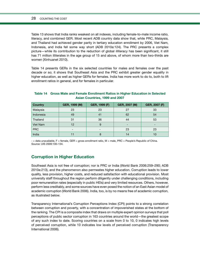Table 13 shows that India ranks weakest on all indexes, including female-to-male income ratio, literacy, and combined GER. Most recent ADB country data show that, while PRC, Malaysia, and Thailand had achieved gender parity in tertiary education enrollment by 2006, Viet Nam, Indonesia, and India fell some way short (ADB 2010a:124). The PRC presents a complex picture—while its contribution to the reduction of global illiteracy has been significant, it still has 71 million illiterates in the age group of 15 and above, of whom more than two-thirds are women (Xinhuanet 2010).

Table 14 presents GERs in the six selected countries for males and females over the past decade or so; it shows that Southeast Asia and the PRC exhibit greater gender equality in higher education, as well as higher GERs for females. India has more work to do to, both to lift enrollment ratios in general, and for females in particular.

| <b>Country</b> | GER, 1999 (M)            | GER, 1999 (F) | GER, 2007 (M) | GER, 2007 (F) |
|----------------|--------------------------|---------------|---------------|---------------|
| Malaysia       | 23                       | 23            | 27            | 33            |
| Indonesia      | 49                       | 41            | 62            | 54            |
| Thailand       | 31                       | 36            | 44            | 53            |
| Viet Nam       | 12                       | 9             |               | -             |
| <b>PRC</b>     | $\overline{\phantom{a}}$ | -             | 23            | 23            |
| India          | 11                       | 8             | 14            | 10            |

### **Table 14 Gross Male and Female Enrollment Ratios in Higher Education in Selected Asian Countries, 1999 and 2007**

- = data unavailable, F = female, GER = gross enrollment ratio, M = male, PRC = People's Republic of China. Source: UIS 2009:130–134.

## **Corruption in Higher Education**

Southeast Asia is not free of corruption; nor is PRC or India (World Bank 2006:259–290; ADB 2010a:213), and the phenomenon also permeates higher education. Corruption leads to lower quality, less provision, higher costs, and reduced satisfaction with educational provision. Most university staff throughout the region perform diligently under challenging conditions, including poor remuneration rates (especially in public HEIs) and very limited resources. Others, however, perform less creditably, and some sources have even posed the notion of an East Asian model of academic corruption (World Bank 2006). India, too, is by no means free of academic corruption, as illustrated below.

Transparency International's Corruption Perceptions Index (CPI) points to a strong correlation between corruption and poverty, with a concentration of impoverished states at the bottom of the ranking. The CPI is a composite index that draws on multiple expert opinion surveys that poll perceptions of public sector corruption in 163 countries around the world—the greatest scope of any such index to date. Scoring countries on a scale from 0 to 10, 0 indicates high levels of perceived corruption, while 10 indicates low levels of perceived corruption (Transparency International 2006).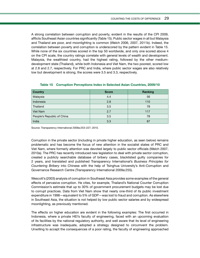A strong correlation between corruption and poverty, evident in the results of the CPI 2009, afflicts Southeast Asian countries significantly (Table 15). Public sector wages in all but Malaysia and Thailand are poor, and moonlighting is common (Welch 2006, 2007, 2011b). Indeed, the correlation between poverty and corruption is underscored by the pattern evident in Table 15. While none of the six countries scored in the top 50 worldwide, and only one scored above 4 on the CPI scale, the country ratings correlate with general levels of wealth and development. Malaysia, the wealthiest country, had the highest rating, followed by the other mediumdevelopment state (Thailand), while both Indonesia and Viet Nam, the two poorest, scored low at 2.8 and 2.7, respectively. For PRC and India, where public sector wages are also relatively low but development is strong, the scores were 3.5 and 3.3, respectively.

| <b>Country</b>             | <b>Score</b> | Ranking |
|----------------------------|--------------|---------|
| Malaysia                   | 4.4          | 56      |
| Indonesia                  | 2.8          | 110     |
| Thailand                   | 3.5          | 78      |
| Viet Nam                   | 2.7          | 117     |
| People's Republic of China | 3.5          | 78      |
| India                      | 3.3          | 87      |

#### **Table 15 Corruption Perceptions Index in Selected Asian Countries, 2009/10**

Source: Transparency International 2009a:253–227; 2010.

Corruption in the private sector (including in private higher education, as seen below) remains problematic and has become the focus of new attention in the socialist states of PRC and Viet Nam, where formerly attention was devoted largely to public sector officials (Welch 2007, 2010a). The PRC has recently introduced new legislation to deal with private sector corruption, created a publicly searchable database of bribery cases, blacklisted guilty companies for 2 years, and translated and published Transparency International's *Business Principles for Countering Bribery* into Chinese with the help of Tsinghua University's Anti-Corruption and Governance Research Centre (Transparency International 2009a:255).

Wescott's (2003) analysis of corruption in Southeast Asia provides some examples of the general effects of pervasive corruption. He cites, for example, Thailand's National Counter Corruption Commission's estimate that up to 30% of government procurement budgets may be lost due to corrupt practices. Data from Viet Nam show that nearly one-third of its public investment expenditure in 1998—equivalent to 5% of GDP—was lost to fraud and corruption. As elsewhere in Southeast Asia, the situation is not helped by low public sector salaries and by widespread moonlighting, as previously mentioned.

The effects on higher education are evident in the following examples: The first occurred in Indonesia, where a private HEI's faculty of engineering, faced with an upcoming evaluation of its facilities by the national regulatory authority, and well aware that its level of engineering infrastructure was inadequate, adopted a strategy designed to circumvent the problem. Unwilling to accept the consequences of a poor rating, the faculty of engineering approached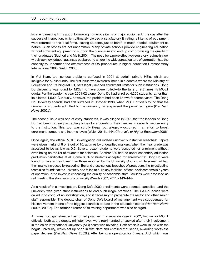#### 30 COUNTING THE COST

local engineering firms about borrowing numerous items of major equipment. The day after the successful inspection, which ultimately yielded a satisfactory B rating, all items of equipment were returned to the local firms, leaving students just as bereft of much-needed equipment as before. Such stories are not uncommon. Many private schools provide engineering education without sufficient equipment to support the curriculum and end up compromising the quality of their graduates (Buchori and Malik 2004). The need for a more effective regulatory regime is now widely acknowledged, against a background where the widespread culture of corruption has the capacity to undermine the effectiveness of QA procedures in higher education (Transparency International 2006, Welch 2006).

In Viet Nam, too, serious problems surfaced in 2001 at certain private HEIs, which are ineligible for public funds. The first issue was overenrollment, in a context where the Ministry of Education and Training (MOET) sets legally defined enrollment limits for such institutions. Dong Do University was found by MOET to have overenrolled—to the tune of 2.8 times its MOET quota: For the academic year 2001/02 alone, Dong Do had enrolled 4,205 students rather than its allotted 1,500. Curiously, however, the problem had been known for some years: The Dong Do University scandal had first surfaced in October 1998, when MOET officials found that the number of students admitted to the university far surpassed the permitted figure (*Viet Nam News* 2002a).

The second issue was one of entry standards. It was alleged in 2001 that the leaders of Dong Do had been routinely accepting bribes by students or their families in order to secure entry to the institution. This, too, was strictly illegal, but allegedly occurred in an effort to boost enrollment numbers and income levels (Welch 2011b:144; *Chronicle of Higher Education* 2006).

Once again, the official MOET investigation did indeed uncover substantial breaches: Papers were given marks of 8 or 9 out of 10, at times by unqualified markers, when their real grade was assessed to be as low as 0.5. Several dozen students were accepted for enrollment without even being on the list of students for selection. Another 380 had no upper secondary education graduation certificates at all. Some 80% of students accepted for enrollment at Dong Do were found to have scores lower than those reported by the University Council, while some had had their marks increased by rescoring. Beyond these serious breaches of procedure, the investigating team also found that the university had failed to build any facilities, offices, or classrooms in 7 years of operation, or to invest in enhancing the quality of academic staff. Facilities were assessed as not meeting the standards of a university (Welch 2007; 2011b:143–144).

As a result of this investigation, Dong Do's 2002 enrollments were deemed cancelled, and the university was given strict instructions to end such illegal practices. The Ha Noi police were called in to conduct an investigation, and if necessary to prosecute the rector and other senior staff responsible. The deputy chair of Dong Do's board of management was subpoenaed for his involvement in one of the biggest scandals to date in the education sector (*Viet Nam News* 2002a, 2002c). The former director of its training department was also charged.

At times, too, gamekeeper has turned poacher. In a separate case in 2002, two senior MOET officials, both at the deputy minister level, were reprimanded or sacked after their involvement in the Asian International University (AIU) scam was revealed. Both officials were linked with the bogus university, which set up shop in Viet Nam and enrolled thousands, awarding worthless paper degrees (*Viet Nam News* 2002b). After being in operation for 5 years, AIU, which was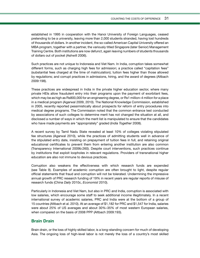established in 1995 in cooperation with the Hanoi University of Foreign Languages, ceased pretending to be a university, leaving more than 2,000 students stranded, having lost hundreds of thousands of dollars. In another incident, the so-called American Capital University offered an MBA program, together with a partner, the variously titled Singapore (later Senior) Management Training Centre. Both institutions are now defunct, again leaving numbers of students thousands of dollars out of pocket (Ashwill 2006).

Such practices are not unique to Indonesia and Viet Nam. In India, corruption takes somewhat different forms, such as charging high fees for admission; a practice called "capitation fees" (substantial fees charged at the time of matriculation); tuition fees higher than those allowed by regulations; and corrupt practices in admissions, hiring, and the award of degrees (Altbach 2009:198).

These practices are widespread in India in the private higher education sector, where many private HEIs allow fraudulent entry into their programs upon the payment of exorbitant fees, which may be as high as Rs800,000 for an engineering degree, or Rs1 million–4 million for a place in a medical program (Agarwal 2009, 2010). The National Knowledge Commission, established in 2005, recently reported pessimistically about prospects for reform of entry procedures into medical degree programs. The Commission noted that the common entrance test conducted by associations of such colleges to determine merit has not changed the situation at all, and disclosed a number of ways in which the merit list is manipulated to ensure that the candidates who have made payments are "appropriately" graded (*India Together* 2008).

A recent survey by Tamil Nadu State revealed at least 10% of colleges violating stipulated fee structures (Agarwal 2010), while the practices of admitting students well in advance of the stipulated entry date, insisting on prepayment of tuition fees in full, and retaining original educational certificates to prevent them from entering another institution are also common (Transparency International 2009b:260). Despite court interventions, such practices continue by institutions that exploit loopholes in relevant regulations. Providers of transnational higher education are also not immune to devious practices.

Corruption also weakens the effectiveness with which research funds are expended (see Table 9). Examples of academic corruption are often brought to light, despite regular official statements that fraud and corruption will not be tolerated. Undermining the impressive annual growth of PRC research funding of 19% in recent years are regular reports of misuse of research funds (*China Daily* 2010c, *Economist* 2010).

Particularly in Indonesia and Viet Nam, but also in PRC and India, corruption is associated with low salaries, which encourage some staff to seek additional income illegitimately. In a recent international survey of academic salaries, PRC and India were at the bottom of a group of 15 countries (Altbach et al. 2010). At an average of \$1,182 for PRC and \$1,547 for India, salaries were about 25% of US averages and about 30%–35% of most western European salaries, when compared on the basis of 2008 PPP (Altbach 2009:193).

## **Brain Drain**

Brain drain, or the loss of highly skilled labor, is a long-standing concern for much of developing Asia. The ongoing loss of high-level labor is not merely the loss of a country's most skilled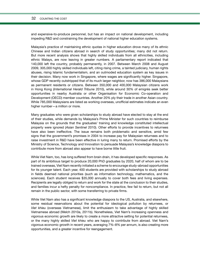#### 32 COUNTING THE COST

and expensive-to-produce personnel, but has an impact on national development, including impeding R&D and constraining the development of national higher education systems.

Malaysia's practice of maintaining ethnic quotas in higher education drove many of its ethnic Chinese and Indian citizens abroad in search of study opportunities; many did not return. But more recent analysis shows that highly skilled individuals from all ethnicities, including ethnic Malays, are now leaving in greater numbers. A parliamentary report indicated that 140,000 left the country, probably permanently, in 2007. Between March 2008 and August 2009, 305,000 highly skilled individuals left, citing rising crime, a tainted judiciary, human rights abuses, rising Islamic fundamentalism, and an outmoded education system as key issues in their decision. Many now work in Singapore, where wages are significantly higher. Singapore, whose GDP recently outstripped that of its much larger neighbor, now has 386,000 Malaysians as permanent residents or citizens. Between 350,000 and 400,000 Malaysian citizens work in Hong Kong (*International Herald Tribune* 2010), while around 30% of emigrés seek better opportunities in nearby Australia or other Organisation for Economic Co-operation and Development (OECD) member countries. Another 20% ply their trade in another Asian country. While 785,000 Malaysians are listed as working overseas, unofficial estimates indicate an even higher number—a million or more.

Many graduates who were given scholarships to study abroad have elected to stay at the end of their studies, while demands by Malaysia's Prime Minister for such countries to reimburse Malaysia on the grounds that the graduates' training and knowledge constituted intellectual property were ignored (*Asian Sentinel* 2010). Other efforts to provide incentives to returnees have also been ineffective. The issue remains both problematic and sensitive, amid few signs that the government's promises in 2004 to increase pay for Malaysian returnees and to raise investment in R&D have been effective in luring many to return. Promised efforts by the Ministry of Science, Technology and Innovation to persuade Malaysia's knowledge diaspora to contribute more from abroad also appear to have borne little fruit.

While Viet Nam, too, has long suffered from brain drain, it has developed specific responses. As part of its ambitious target to produce 20,000 PhD graduates by 2020, half of whom are to be trained overseas, Viet Nam recently initiated a scheme to encourage study-abroad opportunities for its younger talent. Each year, 400 students are provided with scholarships to study abroad in fields deemed national priorities (such as information technology, mathematics, and the sciences). Each student receives \$35,000 annually to cover both fees and living expenses. Recipients are legally obliged to return and work for the state at the conclusion to their studies, and families incur a hefty penalty for noncompliance. In practice, few fail to return, but not all remain in the public sector, with some transferring to private firms.

While Viet Nam also has a significant knowledge diaspora to the US, Australia, and elsewhere, some residual reservations about the potential for ideological pollution by returnees, or *Viet khieu* (overseas Vietnamese), limit the enthusiasm to take advantage of highly skilled Vietnamese abroad (Welch 2010a, 2011b). Nonetheless, Viet Nam's increasing openness and vigorous economic growth are likely to create a more attractive setting for potential returnees, or the many highly skilled *Viet khieu* who are happy to contribute from abroad. Viet Nam's vigorous economic growth in recent years, averaging 7%–8% per annum, is also creating more opportunities, and a greater incentive for reengagement.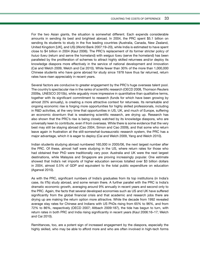For the two Asian giants, the situation is somewhat different. Each expends considerable amounts in sending its best and brightest abroad. In 2004, the PRC spent \$5.1 billion on sending its students to study in the five leading countries (Australia, Canada, New Zealand, United Kingdom [UK], and US) (World Bank 2007:19–20), while India is estimated to have spent close to \$4 billion in 2004 (Kaul 2006). The PRC's replacement of its former stricter policy of *huiuo fuwu* (return and serve the homeland) with *weiguo fuwu* (serve the homeland) has been paralleled by the proliferation of schemes to attract highly skilled returnees and/or deploy its knowledge diaspora more effectively in the service of national development and innovation (Cai and Welch 2009, Welch and Cai 2010). While fewer than 30% of the more than 1,000,000 Chinese students who have gone abroad for study since 1978 have thus far returned, return rates have risen appreciably in recent years.

Several factors are conducive to greater engagement by the PRC's huge overseas talent pool. The country's spectacular rise in the ranks of scientific research (OECD 2008, Thomson Reuters 2009a, UNESCO 2010b), while arguably more impressive in quantitative than qualitative terms, together with its significant commitment to research (funds for which have been growing by almost 20% annually), is creating a more attractive context for returnees. Its remarkable and ongoing economic rise is forging more opportunities for highly skilled professionals, including in R&D activities, at the very time that opportunities in US, UK, and much of Europe, suffering an economic downturn that is weakening scientific research, are drying up. Research has also shown that the PRC's rise is being closely watched by its knowledge diaspora, who are universally keen to contribute, even if from overseas. While there is some evidence that the very best may still be staying abroad (Cao 2004, Simon and Cao 2009), and that some who return leave again in frustration at the still-somewhat-bureaucratic research system, the PRC has a major advantage, which it is eager to deploy (Cai and Welch 2009, Yang and Welch 2010).

Indian students studying abroad numbered 160,000 in 2005/06, the next largest number after the PRC. Of these, almost half were studying in the US, where return rates for those who had obtained their PhD were traditionally very poor. Australia and UK were the next largest destinations, while Malaysia and Singapore are proving increasingly popular. One estimate showed that India's net imports of higher education services totalled over \$3 billion dollars in 2004, almost 0.5% of GDP and equivalent to the total public expenditure on education (Agarwal 2010).

As with the PRC, significant numbers of India's graduates from its top institutions (in India's case, its IITs) study abroad, and some remain there. A further parallel with the PRC is India's dramatic economic growth, averaging around 9% annually in recent years and second only to the PRC. Again, the facts that several developed economies such as US and UK have suffered significantly from the global financial crisis and that academic and research jobs there are drying up are making the return option more attractive. While the decade from 1992 revealed average stay rates for Chinese and Indians with US PhDs rising from 65% to 96%, and from 72% to 86%, respectively (OECD 2007; Altbach 2009:187), the tide has begun to turn, with return rates in both PRC and India rising significantly in recent years (Kaul 2006:16–17; Welch and Cai 2010).

Remittances, too, are a potent sign of increased engagement by the diaspora, especially the highly skilled, who may be able to afford more and who are often involved in high-tech forms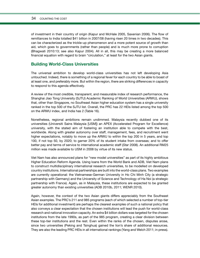#### 34 COUNTING THE COST

of investment in their country of origin (Kapur and McHale 2005, Saxenian 2006). The flow of remittances to India totalled \$41 billion in 2007/08 (having risen 20 times in two decades). This can be characterized as the trickle-up phenomenon and a more potent source of growth than aid, which goes to governments (rather than people) and is much more prone to corruption (Bhagwati 2010:13; see also Kapur 2004). All in all, this may be creating a more balanced financial equation with regard to brain "circulation," at least for the two Asian giants.

### **Building World-Class Universities**

The universal ambition to develop world-class universities has not left developing Asia untouched. Indeed, there is something of a regional fever for each country to be able to boast of at least one, and preferably more. But within the region, there are striking differences in capacity to respond to this agenda effectively.

A review of the most credible, transparent, and measurable index of research performance, the Shanghai Jiao Tong University (SJTU) Academic Ranking of World Universities (ARWU), shows that, other than Singapore, no Southeast Asian higher education system has a single university ranked in the top 500 of the SJTU list. Overall, the PRC has 22 HEIs listed among the top 500 on the ARWU index, and India has 2 (Table 16).

Nonetheless, regional ambitions remain undimmed. Malaysia recently dubbed one of its universities (Universiti Sains Malaysia [USM]) an APEX (Accelerated Program for Excellence) university, with the stated aim of fostering an institution able to compete with the best, worldwide. Along with greater autonomy over staff, management, fees, and recruitment went higher expectations, notably to move up the ARWU to within the top 200 in 5 years, and top 100, if not top 50, by 2020; to garner 20% of its student intake from overseas; and to offer better pay and terms of service to international academic staff (*Star* 2008). An additional RM25 million was made available to USM in 2008 by virtue of its new status.

Viet Nam has also announced plans for "new model universities" as part of its highly ambitious Higher Education Reform Agenda. Using loans from the World Bank and ADB, Viet Nam plans to construct multidisciplinary international research universities, to be modelled on developed country institutions. International partnerships are built into the world-class plans. Two examples are currently operational: the Vietnamese-German University in Ho Chi Minh City (a strategic partnership with Germany) and the University of Science and Technology of Ha Noi (a strategic partnership with France). Again, as in Malaysia, these institutions are expected to be granted greater autonomy than existing universities (ADB 2010b, 2011; WENR 2010).

Again, however, the context of the two Asian giants differs appreciably from the Southeast Asian examples. The PRC's 211 and 985 programs (each of which selected a number of top-tier HEIs for additional investment) are perhaps the clearest examples of such a national policy that also conveys a clear expectation that the chosen institutions will lead the push for world-class research and national innovation capacity. An extra \$4 billion dollars was targeted for the chosen institutions from the late 1990s, as part of the 985 program, creating a clear division between these top-tier institutions and the rest. Even within the ranks of the chosen, disputes arose, since two universities (Peking and Tsinghua) gained the lion's share of additional resources. They are also the leading PRC HEIs in all international rankings (Yang and Welch 2011; in press).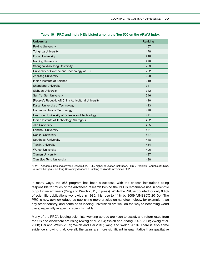| <b>University</b>                                    | Ranking |
|------------------------------------------------------|---------|
| <b>Peking University</b>                             | 167     |
| Tsinghua University                                  | 178     |
| <b>Fudan University</b>                              | 210     |
| Nanjing University                                   | 220     |
| Shanghai Jiao Tong University                        | 233     |
| University of Science and Technology of PRC          | 282     |
| <b>Zhejiang University</b>                           | 300     |
| Indian Institute of Science                          | 319     |
| <b>Shandong University</b>                           | 341     |
| Sichuan University                                   | 342     |
| Sun Yat Sen University                               | 346     |
| [People's Republic of] China Agricultural University | 410     |
| Dalian University of Technology                      | 413     |
| Harbin Institute of Technology                       | 420     |
| Huazhong University of Science and Technology        | 421     |
| Indian Institute of Technology Kharagpur             | 422     |
| <b>Jilin University</b>                              | 425     |
| Lanzhou University                                   | 431     |
| Nankai University                                    | 437     |
| Southeast University                                 | 448     |
| <b>Tianjin University</b>                            | 454     |
| <b>Wuhan University</b>                              | 496     |
| <b>Xiamen University</b>                             | 497     |
| Xian Jiao Tong University                            | 498     |

**Table 16 PRC and India HEIs Listed among the Top 500 on the ARWU Index**

ARWU: Academic Ranking of World Universities, HEI = higher education institution, PRC = People's Republic of China. Source: Shanghai Jiao Tong University Academic Ranking of World Universities 2011.

In many ways, the 985 program has been a success, with the chosen institutions being responsible for much of the advanced research behind the PRC's remarkable rise in scientific output in recent years (Yang and Welch 2011, in press). While the PRC accounted for only 0.4% of scientific publications worldwide in 1980, this rose to 11% by 2009 (UNESCO 2010b). The PRC is now acknowledged as publishing more articles on nanotechnology, for example, than any other country, and some of its leading universities are well on the way to becoming world class, especially in specific scientific fields.

Many of the PRC's leading scientists working abroad are keen to assist, and return rates from the US and elsewhere are rising (Zweig et al. 2004; Welch and Zhang 2007, 2008; Zweig et al. 2008; Cai and Welch 2009; Welch and Cai 2010; Yang and Welch 2010). There is also some evidence showing that, overall, the gains are more significant in quantitative than qualitative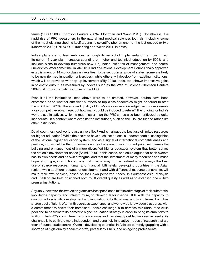#### 36 COUNTING THE COST

terms (OECD 2008, Thomson Reuters 2009a, Mohrman and Wang 2010). Nonetheless, the rapid rise of PRC researchers in the natural and medical sciences journals, including some of the most distinguished, is itself a genuine scientific phenomenon of the last decade or two (Mohrman 2008; UNESCO 2010b; Yang and Welch 2011, in press).

India's plans are no less ambitious, although its record of implementation is more mixed. Its current 5-year plan increases spending on higher and technical education by 500% and includes plans to develop numerous new IITs, Indian institutes of management, and central universities. After some time, in late 2010, India's National Development Council finally approved establishment of 14 world-class universities. To be set up in a range of states, some are likely to be new (termed innovation universities), while others will develop from existing institutions, which will be provided with top-up investment (Sify 2010). India, too, shows impressive gains in scientific output, as measured by indexes such as the Web of Science (Thomson Reuters 2009b), if not as dramatic as those of the PRC.

Even if all the institutions listed above were to be created, however, doubts have been expressed as to whether sufficient numbers of top-class academics might be found to staff them (Altbach 2010). The size and quality of India's impressive knowledge diaspora represents a key competitive advantage, but how many could be induced to return? The funding for India's world-class initiatives, which is much lower than the PRC's, has also been criticized as quite inadequate, in a context where even its top institutions, such as the IITs, are funded rather like other institutions.

Do all countries need world-class universities? And is it always the best use of limited resources for higher education? While the desire to have such institutions is understandable, as flagships of the national higher education system, and as a signal of international competitiveness and prestige, it may well be that for some countries there are more important priorities, namely the building and enhancement of a more diversified higher education system that better serves the nation's development needs (Salmi 2009). In this sense, one could argue that each system has its own needs and its own strengths, and that the investment of many resources and much hope, and hype, in ambitious plans that may or may not be realized is not always the best use of scarce resources, human and financial. Ultimately, developing countries in the Asian region, while at different stages of development and with differential resource constraints, will make their own choices, based on their own perceived needs. In Southeast Asia, Malaysia and Thailand are best positioned both to lift overall quality as well as to establish one or two premier institutions.

Arguably, however, the two Asian giants are best positioned to take advantage of their substantial knowledge capacity and infrastructure, to develop leading-edge HEIs with the capacity to contribute to scientific development and innovation, in both national and world terms. Each has a large pool of talent, often with overseas experience, and worldwide knowledge diasporas, with a commitment to assist their homeland. India's challenge is to harness this undoubted skills pool and to coordinate its domestic higher education strategy in order to bring its ambitions to fruition. The PRC's commitment is unambiguous and has already yielded impressive results; its challenge is to cultivate more independent and genuinely innovative modes of research that are freer of bureaucratic control. Overall, developing countries in Asia are currently grappling with a shortage of high-quality academic staff, particularly PhDs, and an ageing professorate.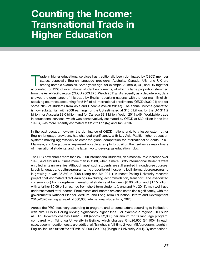## **Counting the Income: Transnational Trade in Higher Education**

Trade in higher educational services has traditionally been dominated by OECD member<br>states, especially English language providers; Australia, Canada, US, and UK are<br>among notable examples. Some years ago, for example, Aus states, especially English language providers; Australia, Canada, US, and UK are among notable examples. Some years ago, for example, Australia, US, and UK together accounted for 49% of international student enrollments, of which a large proportion stemmed from the Asia-Pacific region (OECD 2003:275; Welch 2011a). As recently as a decade ago, data showed the dominance of this trade by English-speaking nations, with the four main Englishspeaking countries accounting for 54% of all international enrollments (OECD 2002:94) and for some 70% of students from Asia and Oceania (Welch 2011a). The annual income generated is now substantial, with 2008 earnings for the US estimated at \$15.5 billion, for the UK \$11.2 billion, for Australia \$8.0 billion, and for Canada \$3.1 billion (Welch 2011a:46). Worldwide trade in educational services, which was conservatively estimated by OECD at \$30 billion in the late 1990s, was more recently estimated at \$2.2 trillion (Ng and Tan 2010).

In the past decade, however, the dominance of OECD nations and, to a lesser extent other English-language providers, has changed significantly, with key Asia-Pacific higher education systems moving aggressively to enter the global competition for international students. PRC, Malaysia, and Singapore all represent notable attempts to position themselves as major hosts of international students, and the latter two to develop as education hubs.

The PRC now enrolls more than 240,000 international students, an almost six-fold increase over 1998, and around 40 times more than in 1988, when a mere 5,835 international students were enrolled in its universities. Although most such students are still enrolled in nondegree courses, largely language and culture programs, the proportion of those enrolled in formal degree programs is growing: It was 35.8% in 2008 (Jiang and Ma 2011). A recent Peking University research project that estimated direct earnings (excluding accommodation, transport, and associated consumption) from long-term international students at between \$0.96 billion and \$1.15 billion, with a further \$0.09 billion earned from short-term students (Jiang and Ma 2011), may well have underestimated total income. Enrollments and income are each set to rise significantly, with the government's National Plan for Medium- and Long-Term Education Reform and Development 2010–2020 setting a target of 500,000 international students by 2020.

Across the PRC, fees vary according to program, and to some extent according to institution, with elite HEIs in Beijing levying significantly higher fees. For example a regional HEI such as Jilin University charges Rmb13,000 (approx \$2,000) per annum for its language program, compared with Tsinghua University in Beijing, which charges Rmb26,600 (\$4,100). In each case, accommodation costs are additional. Tsinghua's full-time 2-year MBA program, taught in English, incurs a tuition fee of Rmb188,000 (\$29,000) (Tsinghua University 2011). By comparison,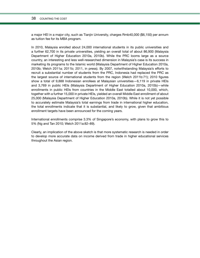#### 38 COUNTING THE COST

a major HEI in a major city, such as Tianjin University, charges Rmb40,000 (\$6,150) per annum as tuition fee for its MBA program.

In 2010, Malaysia enrolled about 24,000 international students in its public universities and a further 62,700 in its private universities, yielding an overall total of about 86,900 (Malaysia Department of Higher Education 2010a, 2010b). While the PRC looms large as a source country, an interesting and less well-researched dimension in Malaysia's case is its success in marketing its programs to the Islamic world (Malaysia Department of Higher Education 2010a, 2010b; Welch 2011a; 2011b; 2011, in press). By 2007, notwithstanding Malaysia's efforts to recruit a substantial number of students from the PRC, Indonesia had replaced the PRC as the largest source of international students from the region (Welch 2011b:71); 2010 figures show a total of 9,888 Indonesian enrollees at Malaysian universities—6,119 in private HEIs and 3,769 in public HEIs (Malaysia Department of Higher Education 2010a, 2010b)—while enrollments in public HEIs from countries in the Middle East totalled about 10,000, which, together with a further 15,000 in private HEIs, yielded an overall Middle East enrollment of about 25,000 (Malaysia Department of Higher Education 2010a, 2010b). While it is not yet possible to accurately estimate Malaysia's total earnings from trade in international higher education, the total enrollments indicate that it is substantial, and likely to grow, given that ambitious enrollment targets have been announced for the coming years.

International enrollments comprise 3.3% of Singapore's economy, with plans to grow this to 5% (Ng and Tan 2010; Welch 2011a:82–89).

Clearly, an implication of the above sketch is that more systematic research is needed in order to develop more accurate data on income derived from trade in higher educational services throughout the Asian region.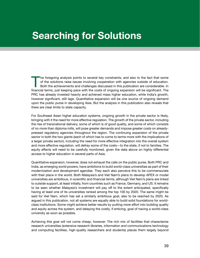## **Searching for Solutions**

The foregoing analysis points to several key constraints, and also to the fact that some of the solutions raise issues involving cooperation with agencies outside of education.<br>Both the achievements and challenges discusse of the solutions raise issues involving cooperation with agencies outside of education. financial terms, just keeping pace with the costs of ongoing expansion will be significant. The PRC has already invested heavily and achieved mass higher education, while India's growth, however significant, still lags. Quantitative expansion will be one source of ongoing demand upon the public purse in developing Asia. But the analysis in this publication also reveals that there are clear limits to state capacity.

For Southeast Asian higher education systems, ongoing growth in the private sector is likely, bringing with it the need for more effective regulation. The growth of the private sector, including the rise of transnational delivery, some of which is of good quality, and some of which consists of no more than diploma mills, will pose greater demands and impose greater costs on alreadypressed regulatory agencies throughout the region. The continuing expansion of the private sector in both the two giants (each of which has to come to terms more with the implications of a larger private sector), including the need for more effective integration into the overall system and more effective regulation, will defray some of the costs—to the state, if not to families. The equity effects will need to be carefully monitored, given the data above on highly differential access to higher education in several parts of Asia.

Quantitative expansion, however, does not exhaust the calls on the public purse. Both PRC and India, as emerging world powers, have ambitions to build world-class universities as part of their modernization and development agendas. They each also perceive this to be commensurate with their place in the world. Both Malaysia's and Viet Nam's plans to develop APEX or model universities are ambitious, in scientific and financial terms, although Viet Nam's plans are linked to outside support, at least initially, from countries such as France, Germany, and US. It remains to be seen whether Malaysia's investment will pay off to the extent anticipated, specifically having at least one of its universities ranked among the top 100 by 2020. The same might be said for Viet Nam, which has set a similarly ambitious goal, also to be reached by 2020. As argued in this publication, not all systems are equally able to build solid foundations for worldclass institutions. Some might achieve better results by putting more effort into building quality and equity across the system, and delaying the costly, if enticing, goal of having a world-class university as soon as possible.

Achieving this goal will not come cheap, however. The rich mix of facilities that characterize research universities (extensive research libraries, information and communications technology and computing facilities, high-quality researchers and students) places them largely beyond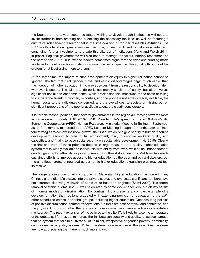#### 40 COUNTING THE COST

the bounds of the private sector, so states wishing to develop such institutions will need to invest further in both creating and sustaining the necessary facilities, as well as fostering a culture of independent research that is the *sine qua non* of top-tier research institutions. The PRC has thus far shown greater resolve than India, but each will need to make substantial, and continuing, further investments to create this elite tier of institutions (Yang and Welch 2011, in press). Regional governments will also need to manage the fallout, notably resentment on the part of non-APEX HEIs, whose leaders sometimes argue that the additional funding made available to the elite sector or institutions would be better spent in lifting quality throughout the system (or at least giving more to them).

At the same time, the impact of such developments on equity in higher education cannot be ignored. The fact that rural, gender, class, and ethnic disadvantages begin much earlier than the inception of higher education in no way absolves it from the responsibility to develop talent wherever it occurs. The failure to do so is not merely a failure of equity, but also involves significant social and economic costs. While precise financial measures of the costs of failing to cultivate the talents of women, minorities, and the poor are not always readily available, the human costs to the individuals concerned, and the overall cost to society of missing out on significant proportions of the pool of available talent, are clearly considerable.

It is for this reason, perhaps, that several governments in the region are moving towards more inclusive growth models (ADB 2010a). PRC President Hu's speech at the 2010 Asia-Pacific Economic Cooperation (APEC) Human Resources Ministerial Meeting in Beijing in September 2010, for example, reinforced at an APEC Leaders Meeting in Japan 2 months later, outlined four strategies to achieve inclusive growth, the first of which is to give priority to human resource development; second, to plan for full employment; third, to improve workers' quality and capacities; and finally, to base social security on sustainable development (Hu 2010). Clearly, the first and third of these priorities depend in large measure on a quality higher education system that is widely available to individuals with ability from every walk of life, independent of gender, geography, ethnicity, or poverty. Among Southeast Asian nations, Viet Nam has made sustained efforts to improve access to higher education by the poor and by rural dwellers, but the ambitious targets announced as part of its higher education expansion plan may yet test its resolve.

The long-standing use of ethnic quotas in Malaysian higher education has forced many Chinese and Indian Malaysians into the private sector, and overseas; significant numbers have not returned, depriving Malaysia of some of its best and brightest (Salmi 2009). The formal removal of ethnic quotas in 2003 was celebrated by some vice-chancellors, but claims persist of informal modes of discrimination. By contrast, India presents a complex example of a developing nation that has long grappled with extending provision of education to the *dalit*, other scheduled castes, and tribal groups, including higher education. Decades-long policies of positive discrimination, termed "reservations," in India are both complex and contested, and the jury is still out on whether the policies on reservations have been effective or constitute a meritocracy. The recent extension of the policies to the elite IITs is likely to raise the temperature of the debate still further, but reinforces the link between equality and quality. It has been argued that no system that fails to cultivate all of its talent, irrespective of gender, poverty, or ethnicity, can be deemed a quality system. While no system has ever achieved this goal, Asian systems are now appreciating that there is much more to do.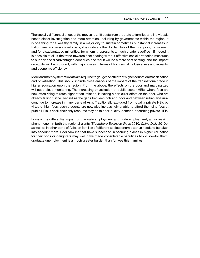The socially differential effect of the moves to shift costs from the state to families and individuals needs closer investigation and more attention, including by governments within the region. It is one thing for a wealthy family in a major city to sustain sometimes substantial increases in tuition fees and associated costs; it is quite another for families of the rural poor, for women, and for disadvantaged minorities, for whom it represents a much greater sacrifice—if indeed it is possible at all. If the trend towards cost sharing without effective social protection measures to support the disadvantaged continues, the result will be a mere cost shifting, and the impact on equity will be profound, with major losses in terms of both social inclusiveness and equality, and economic efficiency.

More and more systematic data are required to gauge the effects of higher education massification and privatization. This should include close analysis of the impact of the transnational trade in higher education upon the region. From the above, the effects on the poor and marginalized will need close monitoring. The increasing privatization of public sector HEIs, where fees are now often rising at rates higher than inflation, is having a particular effect on the poor, who are already falling further behind as the gaps between rich and poor and between urban and rural continue to increase in many parts of Asia. Traditionally excluded from quality private HEIs by virtue of high fees, such students are now also increasingly unable to afford the rising fees at public HEIs. If at all, their only recourse may be to poor-quality, demand-absorbing private HEIs.

Equally, the differential impact of graduate employment and underemployment, an increasing phenomenon in both the regional giants (*Bloomberg Business Week* 2010, *China Daily* 2010b) as well as in other parts of Asia, on families of different socioeconomic status needs to be taken into account more. Poor families that have succeeded in securing places in higher education for their sons or daughters may well have made considerable sacrifices to do so—for them, graduate unemployment is a much greater burden than for wealthier families.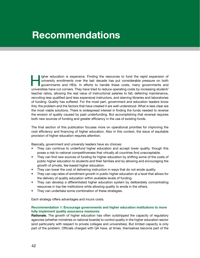## **Recommendations**

Igher education is expensive. Finding the resources to fund the rapid expansion of university enrollments over the last decade has put considerable pressure on both governments and HEIs. In efforts to handle these costs, m university enrollments over the last decade has put considerable pressure on both universities have cut corners. They have tried to reduce operating costs by increasing student/ teacher ratios, allowing the real value of instructional salaries to fall, deferring maintenance, recruiting less qualified (and less expensive) instructors, and starving libraries and laboratories of funding. Quality has suffered. For the most part, government and education leaders know this; the problem and the factors that have created it are well understood. What is less clear are the most viable solutions. There is widespread interest in finding the funds needed to reverse the erosion of quality caused by past underfunding. But accomplishing that reversal requires both new sources of funding and greater efficiency in the use of existing funds.

The final section of this publication focuses more on operational priorities for improving the cost efficiency and financing of higher education. Also in this context, the issue of equitable provision of higher education requires attention.

Basically, government and university leaders have six choices:

- They can continue to underfund higher education and accept lower quality, though this poses a risk to national competitiveness that virtually all countries find unacceptable.
- They can find new sources of funding for higher education by shifting some of the costs of public higher education to students and their families and by allowing and encouraging the growth of private, fee-based higher education.
- They can lower the cost of delivering instruction in ways that do not erode quality.
- They can cap rates of enrollment growth in public higher education at a level that allows for the delivery of quality education within available levels of funding.
- They can develop a differentiated higher education system by deliberately concentrating resources in top-tier institutions while allowing quality to erode in the others.
- They can undertake some combination of these strategies.

Each strategy offers advantages and incurs costs.

#### **Recommendation 1: Encourage governments and higher education institutions to more fully implement quality assurance measures**

**Rationale.** The growth of higher education has often outstripped the capacity of regulatory agencies (whether ministries or national boards) to control quality in the higher education sector (and particularly with respect to private colleges and universities). But limited capacity is only part of the problem. Officials charged with QA have, at times, themselves become part of the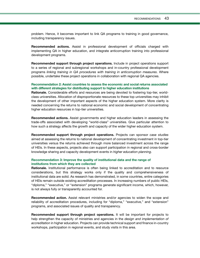problem. Hence, it becomes important to link QA programs to training in good governance, including transparency issues.

**Recommended actions.** Assist in professional development of officials charged with implementing QA in higher education, and integrate anticorruption training into professional development programs.

**Recommended support through project operations.** Include in project operations support to a series of regional and subregional workshops and in-country professional development programs *linking training in QA procedures with training in anticorruption measures*. Where possible, undertake these project operations in collaboration with regional QA agencies.

#### **Recommendation 2: Assist countries to assess the economic and social returns associated with different strategies for distributing support to higher education institutions**

**Rationale.** Considerable efforts and resources are being devoted to fostering top-tier, worldclass universities. Allocation of disproportionate resources to these top universities may inhibit the development of other important aspects of the higher education system. More clarity is needed concerning the returns to national economic and social development of concentrating higher education resources in top-tier universities.

**Recommended actions.** Assist governments and higher education leaders in assessing the trade-offs associated with developing "world-class" universities. Give particular attention to how such a strategy affects the growth and capacity of the wider higher education system.

**Recommended support through project operations.** Projects can sponsor *case studies* aimed at assessing the returns to national development of concentrating investment in top-tier universities versus the returns achieved through more balanced investment across the range of HEIs. In these aspects, projects also can support participation in regional and cross-border knowledge sharing and capacity development events in *higher education planning*.

#### **Recommendation 3: Improve the quality of institutional data and the range of institutions from which they are collected**

**Rationale.** Institutional performance is often being linked to accreditation and to resource considerations, but this strategy works only if the quality and comprehensiveness of institutional data are solid. As research has demonstrated, in some countries, entire categories of HEIs remain outside existing accreditation processes. In increasing numbers of public HEIs, "diploma," "executive," or "extension" programs generate significant income, which, however, is not always fully or transparently accounted for.

**Recommended action.** Assist relevant ministries and/or agencies to widen the scope and reliability of accreditation procedures, including for "diploma," "executive," and "extension" programs, and associated issues of quality and transparency.

**Recommended support through project operations.** It will be important for projects to help strengthen the capacity of ministries and agencies in the *design and implementation of accreditation* in higher education. Projects can provide technical support and finance in-country workshops, participation in regional events, and study visits in this area.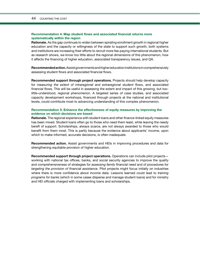#### **Recommendation 4: Map student flows and associated financial returns more systematically within the region**

**Rationale.** As the gap continues to widen between spiraling enrollment growth in regional higher education and the capacity or willingness of the state to support such growth, both systems and institutions are increasing their efforts to recruit more fee-paying international students. But as research shows, we know too little about the regional dimensions of this phenomenon, how it affects the financing of higher education, associated transparency issues, and QA.

**Recommended action.** Assist governments and higher education institutions in comprehensively assessing student flows and associated financial flows.

**Recommended support through project operations.** Projects should help develop capacity for *measuring the extent of intraregional and extraregional student flows*, and associated financial flows. This will be useful in assessing the extent and impact of this growing, but toolittle-understood, regional phenomenon. A targeted series of case studies, and associated capacity development workshops, financed through projects at the national and institutional levels, could contribute most to advancing understanding of this complex phenomenon.

#### **Recommendation 5: Enhance the effectiveness of equity measures by improving the evidence on which decisions are based**

**Rationale.** The regional experience with student loans and other finance-linked equity measures has been mixed. Student loans often go to those who need them least, while leaving the needy bereft of support. Scholarships, always scarce, are not always awarded to those who would benefit from them most. This is partly because the evidence about applicants' income, upon which to make informed, accurate decisions, is often inadequate.

**Recommended action.** Assist governments and HEIs in improving procedures and data for strengthening equitable provision of higher education.

**Recommended support through project operations.** Operations can include pilot projects working with national tax offices, banks, and social security agencies to improve the quality and comprehensiveness of strategies for *assessing family financial need* and of procedures for *targeting the provision of financial assistance*. Pilot projects might focus initially on industries where there is more confidence about income data. Lessons learned could lead to *training programs for banks* (which in some cases disperse and manage student loans) and for ministry and HEI officials charged with implementing loans and scholarships.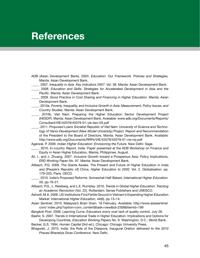## **References**

- ADB (Asian Development Bank). 2003. *Education. Our Framework. Policies and Strategies.*  Manila: Asian Development Bank.
- \_\_\_\_\_. 2007. *Inequality in Asia. Key indicators 2007.* Vol. 38. Manila: Asian Development Bank.
- \_\_\_\_\_. 2008. *Education and Skills: Strategies for Accelerated Development in Asia and the Pacific*. Manila: Asian Development Bank.
- \_\_\_\_\_. 2009. *Good Practice in Cost Sharing and Financing in Higher Education*. Manila: Asian Development Bank.
- \_\_\_\_\_. 2010a. *Poverty, Inequality, and Inclusive Growth in Asia: Measurement, Policy Issues, and Country Studies*. Manila: Asian Development Bank.
- \_\_\_\_\_. 2010b. Viet Nam: Preparing the Higher Education Sector Development Project (HESDP). Manila: Asian Development Bank. Available: www.adb.org/Documents/Reports/ Consultant/VIE/42079/42079-01-vie-tacr-03.pdf
- \_\_\_\_\_. 2011. *Proposed Loans Socialist Republic of Viet Nam: University of Science and Technology of Hanoi Development (New Model University) Project*. Report and Recommendation of the President to the Board of Directors. Manila. Asian Development Bank. Available: http://www.adb.org/Documents/RRPs/VIE/42079/42079-01-vie-rrp.pdf
- Agarwal, P. 2009. *Indian Higher Education: Envisioning the Future*. New Delhi: Sage.
- \_\_\_\_\_. 2010. *In-country Report, India.* Paper presented at the ADB Workshop on Finance and Equity in Asian Higher Education, Manila, Philippines. August.
- Ali, I., and J. Zhuang. 2007. Inclusive Growth toward a Prosperous Asia: Policy Implications, *ERD Working Paper No. 97*. Manila: Asian Development Bank.
- Altbach, P.G. 2009. The Giants Awake. The Present and Future of Higher Education in India and [People's Republic of] China. *Higher Education to 2030.* Vol. 2. Globalisation. pp. 179–203. Paris: OECD.
- \_\_\_\_\_. 2010. India's Proposed Reforms: Somewhat Half-Baked. *International Higher Education. 59*, pp.19–21.
- Altbach, P.G., L. Reisberg, and L.E. Rumbley. 2010. *Trends in Global Higher Education: Tracking an Academic Revolution* (Vol. 22). Rotterdam: Sense Publishers and UNESCO.
- Ashwill, M.A. 2006. US Institutions Find Fertile Ground in Vietnam's Expanding Higher Education Market. *International Higher Education,* 44(6). pp.13–14.
- *Asian Sentinel*. 2010. Malaysia's Brain Drain. 18 February*.* Available: http://www.asiasentinel. com/ index.php?option=com\_content&task=view&id=2308&Itemid=199

*Bangkok Post*. 2008. Learning Curve. Educators worry over lack of quality control*.* July 28. Bashir, S. 2007. Trends in International Trade in Higher Education: Implications and Options for

Developing Countries, *Education Working Papers No. 6*. Washington, D.C.: World Bank. Becker, G.S. 1994. *Human Capital* (3rd ed.). Chicago: Chicago University Press.

Bhagwati, J. 2010. India: the Role of the Diaspora, *Inaugural Oration delivered to the 2010 Pravasi Bharatiya Divas Conference*. New Delhi.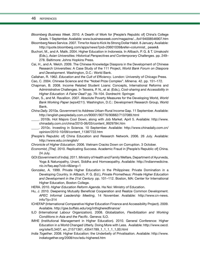#### 46 references

- *Bloomberg Business Week*. 2010. A Dearth of Work for [People's Republic of] China's College Grads. 1 September. Available: www.businessweek.com/magazine/.../b4194008546907.htm
- Bloomberg News Service. 2007. Time for Asia to Kick its Strong Dollar Habit*.* 8 January. Available: http://quote.bloomberg.com/apps/news?pid=20601039&refer=columnist\_ pesek&
- Buchori, M., and A. Malik. 2004. Higher Education in Indonesia. In Altbach, P. G. & T. Umakoshi (Eds.), *Asian Universities: Historical Perspectives and Contemporary Challenges.* pp. 249– 278. Baltimore: Johns Hopkins Press.
- Cai, H., and A. Welch. 2009. The Chinese Knowledge Diaspora in the Development of Chinese Research Universities: A Case Study of the 111 Project, *World Bank Forum on Diaspora and Development*. Washington, D.C.: World Bank.
- Callahan, R. 1962. *Education and the Cult of Efficiency*. London: University of Chicago Press.
- Cao, C. 2004. Chinese Science and the "Nobel Prize Complex". *Minerva.* 42. pp. 151–172.
- Chapman, B. 2008. Income Related Student Loans: Concepts, International Reforms and Administrative Challenges. In Teixeira, P. N., et al. (Eds.), *Cost-sharing and Accessibility in Higher Education: A Fairer Deal?* pp. 79–104. Dordrecht: Springer.
- Chen, S., and M. Ravallion. 2007. Absolute Poverty Measures for the Developing World, *World Bank Working Paper (wps4211)*. Washington, D.C.: Development Research Group, World Bank.
- *China Daily.* 2010a. Government to Address Urban-Rural Income Gap*.* 11 September. Available: http://english.peopledaily.com.cn/90001/90776/90882/7137089.html
- \_\_\_\_\_. 2010b. Hot Majors Cool Down, along with Job Market*.* April 5. Available: http://www. chinadaily.com.cn/china/2010-06/03/content\_9929784.htm
- \_\_\_\_\_. 2010c. Investing in Science*.* 10 September. Available: http://www.chinadaily.com.cn/ opinion/2010-10/09/content\_11387722.htm
- [People's Republic of] China Education and Research Network. 2006. 26 July. Available: http://www.edu.cn/english/
- *Chronicle of Higher Education.* 2006. Vietnam Cracks Down on Corruption. 3 October.
- *Economist, [The]*. 2010. Replicating Success. Academic Fraud in [People's Republic of] China. 24 July.
- GOI (Government of India). 2011. Ministry of Health and Family Welfare, Department of Ayurveda, Yoga & Naturopathy, Unani, Siddha and Homoeopathy. Available: http://indianmedicine. nic.in/faq.asp?cid=4&lang=1
- Gonzalez, A. 1999. Private Higher Education in the Philippines: Private Domination in a Developing Country. In Altbach, P. G. (Ed.), *Private Prometheus: Private Higher Education and Development in the 21st Century.* pp. 101–112. Boston, MA: Center for International Higher Education, Boston College.
- HERA. 2010. *Higher Education Reform Agenda*. Ha Noi: Ministry of Education.
- Hu, J. 2010. Deepening Mutually Beneficial Cooperation and Realize Common Development. *APEC Informal Leadership Meeting*, 14 November. Available: http://www.cn-news. info/?p=314
- ICHEFAP (International Comparative Higher Education Finance and Accessibility Project). 2009. Available. http://gse.buffalo.edu/org/inthigheredfinance/
- ILO (International Labour Organization). 2008. *Globalization, Flexibilization and Working Conditions in Asia and the Pacific*. Geneva: ILO.
- IMHE (Institutional Management in Higher Education). 2010. General Conference: Higher Education in a World Changed Utterly. Doing More with Less. Available: http://www.oecd. org/site/0,3407, en\_21571361\_43541789\_1\_1\_1\_1\_1,00.html
- *India Together*. 2008. Higher Education: the Underbelly of Privatisation. Available: http://www. indiatogether.org/2008/nov/edu-highered.htm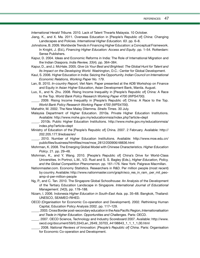*International Herald Tribune.* 2010. Lack of Talent Thwarts Malaysia. 10 October.

- Jiang, K., and X. Ma. 2011. Overseas Education in [People's Republic of] China: Changing Landscapes and Policies. *International Higher Education. 63*. pp. 6–8.
- Johnstone, B. 2009. Worldwide Trends in Financing Higher Education: a Conceptual Framework. In Knight, J. (Ed.), *Financing Higher Education: Access and Equity*. pp. 1–54. Rotterdam: Sense Publishers.
- Kapur, D. 2004. Ideas and Economic Reforms in India: The Role of International Migration and the Indian Diaspora. *India Review, 33*(4). pp. 364–384.
- Kapur, D., and J. McHale. 2005. *Give Us Your Best and Brightest: The Global Hunt for Talent and Its Impact on the Developing World*. Washington, D.C.: Center for Global Development.
- Kaul, S. 2006. Higher Education in India: Seizing the Opportunity. *Indian Council on International Economic Relations, Working Paper No. 179*.
- Lan, B. 2010. *In-country Report, Viet Nam.* Paper presented at the ADB Workshop on Finance and Equity in Asian Higher Education, Asian Development Bank, Manila. August.
- Luo, X., and N. Zhu. 2008. Rising Income Inequality in [People's Republic of] China: A Race to the Top. *World Bank Policy Research Working Paper 4700 (WPS4700)*.
	- \_\_\_\_\_. 2009. Rising Income Inequality in [People's Republic of] China: A Race to the Top. *World Bank Policy Research Working Paper 4700 (WPS4700)*.

Mahathir, M. 2002. The New Malay Dilemma*. Straits Times*. 30 July.

Malaysia Department of Higher Education. 2010a. Private Higher Education Institutions. Available: http://www.mohe.gov.my/educationmsia/index.php?article=dept

- \_\_\_\_\_. 2010b. Public Higher Education Institutions. http://www.mohe.gov.my/educationmsia/ index.php?article=dept
- Ministry of Education of the [People's Republic of] China. 2007. 2 February. Available: http:// 202.205.177.9/edoas/en/
	- \_\_\_\_\_. 2010. Number of Higher Education Institutions. Available: http://www.moe.edu.cn/ publicfiles/business/htmlfiles/moe/moe\_2812/200906/48836.html
- Mohrman, K. 2008. The Emerging Global Model with Chinese Characteristics. *Higher Education Policy*. 21. pp. 29–48.
- Mohrman, K., and Y. Wang. 2010. [People's Republic of] China's Drive for World-Class Universities. In Portnoi, L.M., V.D. Rust and S. S. Bagley (Eds.), *Higher Education, Policy, and the Global Competition Phenomenon.* pp. 161–176. New York: Palgrave Macmillan.
- Nationmaster.com. Economy Statistics. Researchers in R&D. Per million people (most recent) by country. Available: http://www.nationmaster.com/graph/eco\_res\_in\_ram\_ per\_mil\_peoamp-d-per-million-people
- Ng, P., and C. Tan. 2010. The Singapore Global Schoolhouse: An Analysis of the Development of the Tertiary Education Landscape in Singapore. *International Journal of Educational Management. 24*(3), pp. 178–188.
- Nizam, I. 2006. Indonesia *Higher Education in South-East Asia.* pp. 35–68. Bangkok, Thailand: UNESCO, SEAMEO-RIHED.
- OECD (Organisation for Economic Co-operation and Development). 2002. Rethinking Human Capital, Education Policy Analysis 2002. pp. 117–129.
	- \_\_\_\_\_. 2003. Cross Border post-secondary education in the Asia Pacific Region, *Internationalisation and Trade in Higher Education. Opportunities and Challenges.* Paris: OECD.
	- \_\_\_\_\_. 2007. OECD Science, Technology and Industry Scoreboard 2007. Available: http://www. oecd.org/document/59/0,3343,en\_2649\_33703\_44198843\_1\_1\_1\_1,00.html
- \_\_\_\_\_. 2008. *National Reviews of Innovation: [People's Republic of] China*. Paris: Organisation for Economic Co-operation and Development.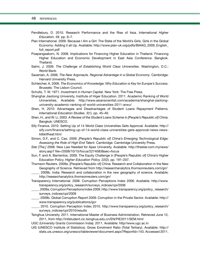#### 48 references

- Pendlebury, D. 2010. Research Performance and the Rise of Asia. *International Higher Education. 59*. pp. 6–7.
- Plan International. 2009. Because I Am a Girl: The State of the World's Girls. Girls in the Global Economy: Adding it all Up. Available: http://www.plan-uk.org/pdfs/BIAAG\_2009\_English\_ full report.pdf
- Poapangsakorn, N. 2008. Implications for Financing Higher Education in Thailand. Financing Higher Education and Economic Development in East Asia Conference. Bangkok. Thailand.
- Salmi, J. 2009. *The Challenge of Establishing World Class Universities*. Washington, D.C.: World Bank.
- Saxenian, A. 2006. *The New Argonauts. Regional Advantage in a Global Economy*. Cambridge: Harvard University Press.
- Schleicher, A. 2006. *The Economics of Knowledge: Why Education is Key for Europe's Success*. Brussels: The Lisbon Council.
- Schultz, T. W. 1971. *Investment in Human Capital*. New York: The Free Press.
- Shanghai Jiaotong University, Institute of Higer Education. 2011. Academic Ranking of World Universities. Available: http://www.asianscientist.com/academia/shanghai-jiaotonguniversity-academic-ranking-of-world-universities-2011-arwu/
- Shen, H. 2010. Advantages and Disadvantages of Student Loans Repayment Patterns. *International Education Studies. 3*(1). pp. 45–49.
- Shen, H., and W. Li. 2003. *A Review of the Student Loans Scheme in [People's Republic of] China*. Bangkok: UNESCO.
- Sify Finance. 2010. Setting Up of 14 World Class Universities Gets Approval*.* Available: http:// sify.com/finance/setting-up-of-14-world-class-universities-gets-approval-news-newskllbktfheaf.html
- Simon, D.F., and C. Cao. 2009. *[People's Republic of] China's Emerging Technological Edge: Assessing the Role of High End Talent*. Cambridge: Cambridge University Press.
- *Star [The.]* 2008. New Law Needed for Apex University. Available: http://thestar.com.mynews/ story.asp? file=/2008/10/15/focus/2274083&sec=focus
- Sun, F. and A. Barrientos. 2009. The Equity Challenge in [People's Republic of] China's Higher Education Policy. *Higher Education Policy. 22*(2). pp. 191–207.
- Thomson Reuters. 2009a. [People's Republic of] China: Research and Collaboration in the New Geography of Science*.* Retrieved from http://researchanalytics.thomsonreuters.com/grr/
- \_\_\_\_\_. 2009b. India: Research and collaboration in the new geography of science*.* Available: http://researchanalytics.thomsonreuters.com/grr/
- Transparency International. 2006. Corruption Perceptions Index 2006. Available: http://www. transparency.org/policy\_research/surveys\_indices/cpi/2006
- \_\_\_\_\_. 2009a. Corruption Perceptions Index 2009. http://www.transparency.org/policy\_ research/ surveys\_indices/cpi/2009
- \_\_\_\_\_. 2009b. Global Corruption Report 2009: Corruption in the Private Sector. Available: http:// www.transparency.org/publications/gcr
- \_\_\_\_\_. 2010. Corruption Perception Index 2010. http://www.transparency.org/policy\_research/ surveys\_indices/cpi/2010/results
- Tsinghua University. 2011. International Master of Business Administration. Retrieved June 12, 2011, from http://intlstudent.cic.tsinghua.edu.cn/EN/PIE2011/SEM.html
- UGC (University Grants Commission India). 2011. Available: http//www.ugc.ac.in
- UIS (UNESCO Institute of Statistics). Gross Enrolment Ratio (Total Tertiary). Available: http:// stats.uis.unesco.org/unesco/tableviewer/document.aspx?ReportId=143. Accessed 2011.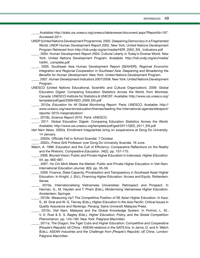\_\_\_\_\_. Available: http://stats.uis.unesco.org/unesco/tableviewer/document.aspx?ReportId=167. Accessed 2011.

UNDP (United Nations Development Programme). 2002. Deepening Democracy in a Fragmented World: UNDP Human Development Report 2002. New York: United Nations Development Program Retrieved from http://hdr.undp.org/en/media/HDR\_2002\_EN\_ Indicators.pdf

- \_\_\_\_\_. 2004. Human Development Report 2004: Cultural Liberty in Today's Diverse World. New York: United Nations Development Program. Available: http://hdr.undp.org/en/media/ hdr04\_ complete.pdf
- \_\_\_\_\_. 2005. Southeast Asia Human Development Report (SEAHDR), *Regional Economic Integration and Regional Cooperation in Southeast Asia: Deepening and Broadening the Benefits for Human Development*. New York: United Nations Development Program.
	- \_\_\_\_\_. 2007. *Human Development Indicators 2007/2008*. New York: United Nations Development Program.
- UNESCO (United Nations Educational, Scientific and Cultural Organization). 2009. Global Education Digest: Comparing Education Statistics Across the World. from Montreal, Canada: UNESCO Institute for Statistics & UNICEF: Available: http://www.uis.unesco.org/ template/pdf/ged/2009/GED\_2009\_EN.pdf
- \_\_\_\_\_. 2010a. *Education for All Global Monitoring Report*. Paris: UNESCO. Available: http:// www.unesco.org/new/en/education/themes/leading-the-international-agenda/efareport/ reports/ 2010-marginalization/
- \_\_\_\_\_. 2010b. *Science Report 2010*. Paris: UNESCO.
- \_\_\_\_\_. 2011. Global Education Digest: Comparing Education Statistics Across the World. Available: http://www.uis.unesco.org/template/pdf/ged/2011/GED\_2011\_EN.pdf
- *Viet Nam News.* 2002a. Enrollment Irregularities bring on suspensions at Dong Do University*.* 14 January.
	- \_\_\_\_\_. 2002b. Officials Fall in School Scandal*.* 7 October.
- \_\_\_\_\_. 2002c. Police Grill Professor over Dong Do University Scandal*.* 19 June.
- Welch, A. 1998. Education and the Cult of Efficiency: Comparative Reflections on the Reality and the Rhetoric. *Comparative Education. 34*(2). pp. 157–175.
- \_\_\_\_\_. 2006. Blurred Vision: Public and Private Higher Education in Indonesia. *Higher Education. 54*. pp. 665–687.
- \_\_\_\_\_. 2007. Ho Chi Minh Meets the Market: Public and Private Higher Education in Viet Nam. *International Education Journal. 8*(3). pp. 35–56.
- \_\_\_\_\_. 2009. Finance, State Capacity, Privatisation and Transparency in Southeast Asian Higher Education. In Knight, J. (Ed.), *Financing Higher Education: Access and Equity*. Rotterdam: Sense.
- \_\_\_\_\_. 2010a. Internationalising Vietnamese Universities: Retrospect and Prospect. In Harman, G., M. Hayden and T. Pham (Eds.), *Modernising Vietnamese Higher Education*. Amsterdam: Springer.
- \_\_\_\_\_. 2010b. Measuring Up? The Competitive Position of SE Asian Higher Education. In Kaur, S., M. Sirat and W. G. Tierney (Eds.), *Higher Education in the Asia Pacific: Critical Issues in Quality Assurance and Rankings*. Penang: Sains Universiti Malaysia Press.
- \_\_\_\_\_. 2010c. Viet Nam, Malaysia and the Global Knowledge System. In Portnoi, L. M., V. D. Rust & S. S. Bagley (Eds.), *Higher Education, Policy, and the Global Competition Phenomenon.* pp. 143–160. New York: Palgrave Macmillan.
- \_\_\_\_\_. 2011a. The Dragon, the Tiger Cubs and Higher Education: Competitive and Cooperative [People's Republic of] China - ASEAN relations in the GATS Era. In Jarvis, D. and A. Welch (Eds.), *ASEAN Industries and the Challenge from [People's Republic of] China*. London: Palgrave Macmillan.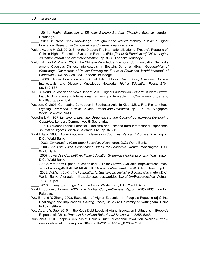#### 50 references

\_\_\_\_\_. 2011b. *Higher Education in SE Asia: Blurring Borders, Changing Balance*. London: Routledge.

\_\_\_\_\_. 2011, in press. Seek Knowledge Throughout the World? Mobility in Islamic Higher Education. *Research in Comparative and International Education*.

Welch, A., and H. Cai. 2010. Enter the Dragon: The Internationalisation of [People's Republic of] China's Higher Education System In Ryan, J. (Ed.), *[People's Republic of] China's higher education reform and internationalisation*. pp. 9–33. London: Routledge.

Welch, A., and Z. Zhang. 2007. The Chinese Knowledge Diaspora: Communication Networks among Overseas Chinese Intellectuals. In Epstein, D., et al. (Eds.), *Geographies of Knowledge, Geometries of Power: Framing the Future of Education, World Yearbook of Education 2008.* pp. 338–354. London: Routledge.

\_\_\_\_\_. 2008. Higher Education and Global Talent Flows: Brain Drain, Overseas Chinese Intellectuals, and Diasporic Knowledge Networks. *Higher Education Policy. 21*(4). pp. 519–537.

- WENR (World Education and News Report)**.** 2010. Higher Education in Vietnam: Student Growth, Faculty Shortages and International Partnerships. Available: http://www.wes. org/ewenr/ PF/10aug/pfpractical.htm
- Wescott, C. 2003. Combating Corruption in Southeast Asia. In Kidd, J.B. & F.-J. Richter (Eds.), *Fighting Corruption In Asia: Causes, Effects and Remedies.* pp. 237–269. Singapore: World Scientific Press.

Woodhall, M. 1987. *Lending for Learning: Designing a Student Loan Programme for Developing Countries*. London: Commonwealth Secretariat.

\_\_\_\_\_. 2004. Student Loans: Potential, Problems and Lessons from International Experience. *Journal of Higher Education in Africa. 2*(2). pp. 37–52.

- World Bank. 2000. *Higher Education in Developing Countries: Peril and Promise*. Washington, D.C.: World Bank.
- \_\_\_\_\_. 2002. *Constructing Knowledge Societies*. Washington, D.C.: World Bank.
- \_\_\_\_\_. 2006. *An East Asian Renaissance: Ideas for Economic Growth*. Washington, D.C.: World Bank.
- \_\_\_\_\_. 2007. *Towards a Competitive Higher Education System in a Global Economy*. Washington, D.C.: World Bank.

\_\_\_\_\_. 2008. Viet Nam: Higher Education and Skills for Growth. Available: http://siteresources .worldbank.org/INTEASTASIAPACIFIC/Resources/Vietnam-HEandS killsforGrowth. pdf

\_\_\_\_\_. 2009. *Viet Nam: Laying the Foundation for Sustainable, Inclusive Growth*. Washington, D.C.: World Bank. Available: http://siteresources.worldbank.org/IDA/Resources/ida\_Vietnam \_8-31-09.pdf

\_\_\_\_\_. 2010. *Emerging Stronger from the Crisis*. Washington, D.C.: World Bank.

- World Economic Forum. 2005. *The Global Competitiveness Report 2005–2006*, London: Palgrave**.**
- Wu, B., and Y. Zheng 2008. Expansion of Higher Education in [People's Republic of] China. Challenges and Implications, *Briefing Series, Issue 36*: University of Nottingham, China Policy Institute.
- Wu, D., and Y. Gao. 2010. In the Red? Debt Levels at Higher Education Institutions in [People's Republic of] China. *Procedia Social and Behavioural Sciences, 2*, 5855–5863.
- Xinhuanet. 2010. [People's Republic of] China's Quiet Educational Revolution*.* Available: http:// news.xinhuanet.com/english2010/indepth/2010-04/21/c\_13260769.htm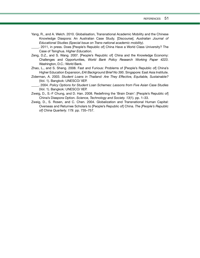Yang, R., and A. Welch. 2010. Globalisation, Transnational Academic Mobility and the Chinese Knowledge Diaspora: An Australian Case Study. [Discourse]. *Australian Journal of Educational Studies (Special Issue on Trans-national academic mobility)*.

\_\_\_\_\_. 2011, in press. Does [People's Republic of] China Have a World Class University? The Case of Tsinghua. *Higher Education*.

- Zeng, D.Z., and S. Wang. 2007. [People's Republic of] China and the Knowledge Economy: Challenges and Opportunities, *World Bank Policy Research Working Paper 4223*. Washington, D.C.: World Bank.
- Zhao, L., and S. Sheng. 2008. Fast and Furious: Problems of [People's Republic of] China's Higher Education Expansion, *EAI Background Brief No 395*. Singapore: East Asia Institute.
- Ziderman, A. 2003. *Student Loans in Thailand: Are They Effective, Equitable, Sustainable?* (Vol. 1). Bangkok: UNESCO/ IIEP.
- \_\_\_\_\_. 2004. *Policy Options for Student Loan Schemes: Lessons from Five Asian Case Studies* (Vol. 1). Bangkok: UNESCO/ IIEP.
- Zweig, D., S.-F Chung, and D. Han. 2008. Redefining the 'Brain Drain': [People's Republic of] China's Diaspora Option. *Science, Technology and Society. 13*(1). pp. 1–33.
- Zweig, D., S. Rosen, and C. Chen. 2004. Globalization and Transnational Human Capital: Overseas and Returnee Scholars to [People's Republic of] China. *The [People's Republic of] China Quarterly. 179*. pp. 735–757.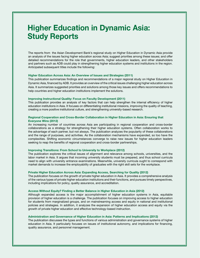## **Higher Education in Dynamic Asia: Study Reports**

The reports from the Asian Development Bank's regional study on Higher Education in Dynamic Asia provide an analysis of the issues facing higher education across Asia; suggest priorities among these issues; and offer detailed recommendations for the role that governments, higher education leaders, and other stakeholders and partners such as ADB could play in strengthening higher education systems and institutions in the region. Anticipated subsequent titles include the following:

#### **Higher Education Across Asia: An Overview of Issues and Strategies (2011)**

This publication summarizes findings and recommendations of a major regional study on Higher Education in Dynamic Asia, financed by ADB. It provides an overview of the critical issues challenging higher education across Asia. It summarizes suggested priorities and solutions among those key issues and offers recommendations to help countries and higher education institutions implement the solutions.

#### **Improving Instructional Quality: Focus on Faculty Development (2011)**

This publication provides an analysis of key factors that can help strengthen the internal efficiency of higher education institutions in Asia. It focuses on differentiating institutional missions, improving the quality of teaching, creating a more positive institutional culture, and strengthening university-based research.

#### **Regional Cooperation and Cross-Border Collaboration in Higher Education in Asia: Ensuring that Everyone Wins (2012)**

An increasing number of countries across Asia are participating in regional cooperation and cross-border collaborations as a strategy for strengthening their higher education systems. Often collaboration works to the advantage of each partner, but not always. The publication analyzes the popularity of these collaborations and the range of purposes, and activities. As the collaboration mechanisms have expanded, so too have the complexities. Shifting economic circumstances converge to raise new issues for higher education leaders seeking to reap the benefits of regional cooperation and cross-border partnerships.

#### **Improving Transitions: From School to University to Workplace (2012)**

The publication explores the critical issues of alignment and relevance among schools, universities, and the labor market in Asia. It argues that incoming university students must be prepared, and thus school curricula need to align with university entrance examinations. Meanwhile, university curricula ought to correspond with market demands to increase the employability of graduates with the right skill sets for the workplace.

#### **Private Higher Education Across Asia: Expanding Access, Searching for Quality (2012)**

The publication focuses on the growth of private higher education in Asia. It provides a comprehensive analysis of the various types of private higher education institutions and their functions, and pursues timely perspectives, including implications for policy, quality assurance, and accreditation.

#### **Access Without Equity? Finding a Better Balance in Higher Education in Asia (2012)**

Although expanded access is the major accomplishment of higher education systems in Asia, equitable provision of higher education is a challenge. The publication focuses on improving access to higher education for students from marginalized groups, and on mainstreaming access and equity in national and institutional policies and strategies. In addition, it analyzes the expansion of higher education access and equity via the growth of private higher education and effective technology-based instruction.

#### **Administration and Governance of Higher Education in Asia: Patterns and Implications (2012)**

The publication discusses the types and functions of various administration and governance systems of higher education in Asia. It particularly focuses on issues of institutional autonomy, and implications for financing, quality assurance, and personnel management.